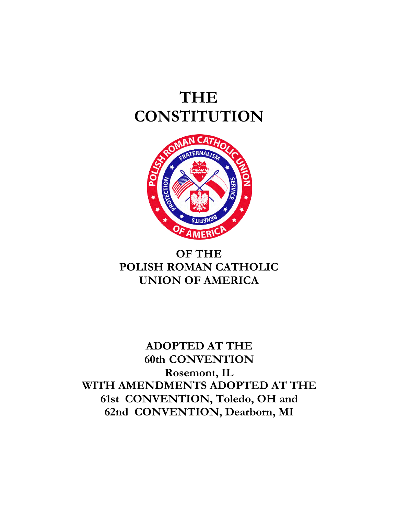# **THE CONSTITUTION**

# **OF THE POLISH ROMAN CATHOLIC UNION OF AMERICA**

**ADOPTED AT THE 60th CONVENTION Rosemont, IL WITH AMENDMENTS ADOPTED AT THE 61st CONVENTION, Toledo, OH and 62nd CONVENTION, Dearborn, MI**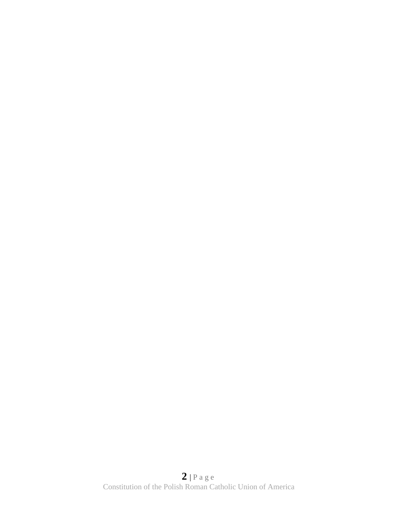**2** | P a g e Constitution of the Polish Roman Catholic Union of America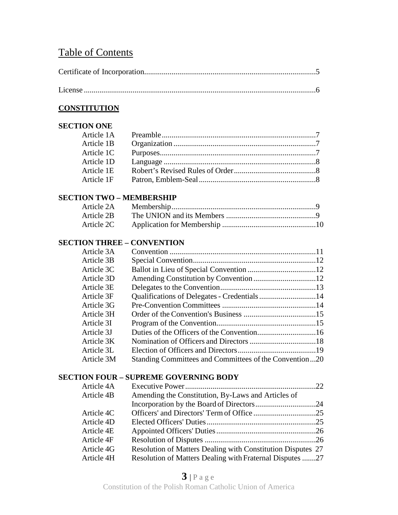# Table of Contents

#### **CONSTITUTION**

### **[SECTION ONE](#page-6-0)**

| Article 1B |  |
|------------|--|
| Article 1C |  |
| Article 1D |  |
| Article 1E |  |
| Article 1F |  |

#### **[SECTION TWO – MEMBERSHIP](#page-8-0)**

| Article 2B |  |
|------------|--|
|            |  |

#### **[SECTION THREE – CONVENTION](#page-10-0)**

| Article 3A |                                                        |  |
|------------|--------------------------------------------------------|--|
| Article 3B |                                                        |  |
| Article 3C |                                                        |  |
| Article 3D |                                                        |  |
| Article 3E |                                                        |  |
| Article 3F | Qualifications of Delegates - Credentials14            |  |
| Article 3G |                                                        |  |
| Article 3H |                                                        |  |
| Article 3I |                                                        |  |
| Article 3J |                                                        |  |
| Article 3K |                                                        |  |
| Article 3L |                                                        |  |
| Article 3M | Standing Committees and Committees of the Convention20 |  |

#### **[SECTION FOUR – SUPREME GOVERNING BODY](#page-21-0)**

| Article 4A |                                                             |  |
|------------|-------------------------------------------------------------|--|
| Article 4B | Amending the Constitution, By-Laws and Articles of          |  |
|            |                                                             |  |
| Article 4C |                                                             |  |
| Article 4D |                                                             |  |
| Article 4E |                                                             |  |
| Article 4F |                                                             |  |
| Article 4G | Resolution of Matters Dealing with Constitution Disputes 27 |  |
| Article 4H | Resolution of Matters Dealing with Fraternal Disputes 27    |  |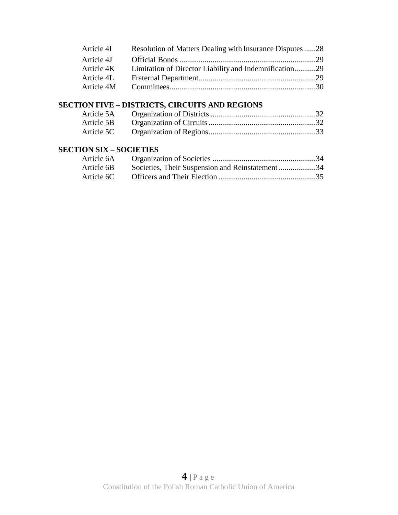| Article 4I | Resolution of Matters Dealing with Insurance Disputes28 |  |
|------------|---------------------------------------------------------|--|
| Article 4J |                                                         |  |
| Article 4K | Limitation of Director Liability and Indemnification29  |  |
| Article 4L |                                                         |  |
| Article 4M |                                                         |  |

### **[SECTION FIVE – DISTRICTS, CIRCUITS AND REGIONS](#page-31-0)**

| Article 5B |  |
|------------|--|
|            |  |

### **[SECTION SIX – SOCIETIES](#page-33-0)**

| Article 6A |                                                  |  |
|------------|--------------------------------------------------|--|
| Article 6B | Societies, Their Suspension and Reinstatement 34 |  |
| Article 6C |                                                  |  |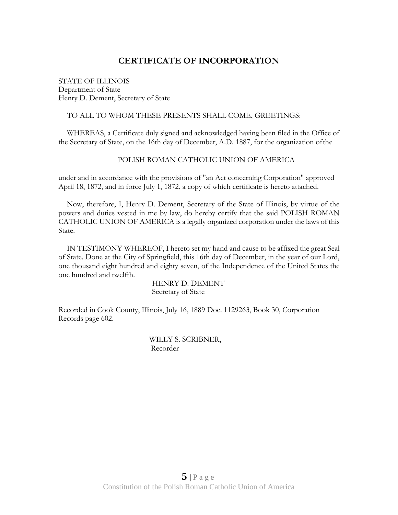### **CERTIFICATE OF INCORPORATION**

<span id="page-4-0"></span>STATE OF ILLINOIS Department of State Henry D. Dement, Secretary of State

#### TO ALL TO WHOM THESE PRESENTS SHALL COME, GREETINGS:

WHEREAS, a Certificate duly signed and acknowledged having been filed in the Office of the Secretary of State, on the 16th day of December, A.D. 1887, for the organization of the

#### POLISH ROMAN CATHOLIC UNION OF AMERICA

under and in accordance with the provisions of "an Act concerning Corporation" approved April 18, 1872, and in force July 1, 1872, a copy of which certificate is hereto attached.

Now, therefore, I, Henry D. Dement, Secretary of the State of Illinois, by virtue of the powers and duties vested in me by law, do hereby certify that the said POLISH ROMAN CATHOLIC UNION OF AMERICA is a legally organized corporation under the laws of this State.

IN TESTIMONY WHEREOF, I hereto set my hand and cause to be affixed the great Seal of State. Done at the City of Springfield, this 16th day of December, in the year of our Lord, one thousand eight hundred and eighty seven, of the Independence of the United States the one hundred and twelfth.

> HENRY D. DEMENT Secretary of State

Recorded in Cook County, Illinois, July 16, 1889 Doc. 1129263, Book 30, Corporation Records page 602.

> WILLY S. SCRIBNER, Recorder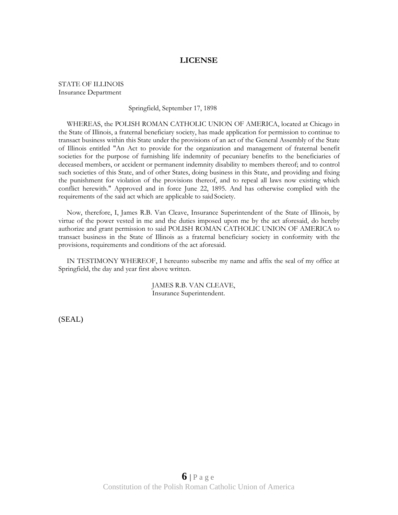#### **LICENSE**

<span id="page-5-0"></span>STATE OF ILLINOIS Insurance Department

Springfield, September 17, 1898

WHEREAS, the POLISH ROMAN CATHOLIC UNION OF AMERICA, located at Chicago in the State of Illinois, a fraternal beneficiary society, has made application for permission to continue to transact business within this State under the provisions of an act of the General Assembly of the State of Illinois entitled "An Act to provide for the organization and management of fraternal benefit societies for the purpose of furnishing life indemnity of pecuniary benefits to the beneficiaries of deceased members, or accident or permanent indemnity disability to members thereof; and to control such societies of this State, and of other States, doing business in this State, and providing and fixing the punishment for violation of the provisions thereof, and to repeal all laws now existing which conflict herewith." Approved and in force June 22, 1895. And has otherwise complied with the requirements of the said act which are applicable to said Society.

Now, therefore, I, James R.B. Van Cleave, Insurance Superintendent of the State of Illinois, by virtue of the power vested in me and the duties imposed upon me by the act aforesaid, do hereby authorize and grant permission to said POLISH ROMAN CATHOLIC UNION OF AMERICA to transact business in the State of Illinois as a fraternal beneficiary society in conformity with the provisions, requirements and conditions of the act aforesaid.

IN TESTIMONY WHEREOF, I hereunto subscribe my name and affix the seal of my office at Springfield, the day and year first above written.

> JAMES R.B. VAN CLEAVE, Insurance Superintendent.

(SEAL)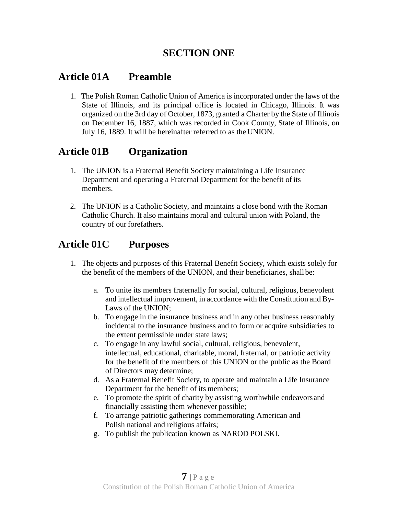### **SECTION ONE**

### <span id="page-6-0"></span>**Article 01A Preamble**

1. The Polish Roman Catholic Union of America is incorporated under the laws of the State of Illinois, and its principal office is located in Chicago, Illinois. It was organized on the 3rd day of October, 1873, granted a Charter by the State of Illinois on December 16, 1887, which was recorded in Cook County, State of Illinois, on July 16, 1889. It will be hereinafter referred to as the UNION.

### **Article 01B Organization**

- 1. The UNION is a Fraternal Benefit Society maintaining a Life Insurance Department and operating a Fraternal Department for the benefit of its members.
- 2. The UNION is a Catholic Society, and maintains a close bond with the Roman Catholic Church. It also maintains moral and cultural union with Poland, the country of our forefathers.

### **Article 01C Purposes**

- 1. The objects and purposes of this Fraternal Benefit Society, which exists solely for the benefit of the members of the UNION, and their beneficiaries, shall be:
	- a. To unite its members fraternally for social, cultural, religious, benevolent and intellectual improvement, in accordance with the Constitution and By-Laws of the UNION;
	- b. To engage in the insurance business and in any other business reasonably incidental to the insurance business and to form or acquire subsidiaries to the extent permissible under state laws;
	- c. To engage in any lawful social, cultural, religious, benevolent, intellectual, educational, charitable, moral, fraternal, or patriotic activity for the benefit of the members of this UNION or the public as the Board of Directors may determine;
	- d. As a Fraternal Benefit Society, to operate and maintain a Life Insurance Department for the benefit of its members;
	- e. To promote the spirit of charity by assisting worthwhile endeavors and financially assisting them whenever possible;
	- f. To arrange patriotic gatherings commemorating American and Polish national and religious affairs;
	- g. To publish the publication known as NAROD POLSKI.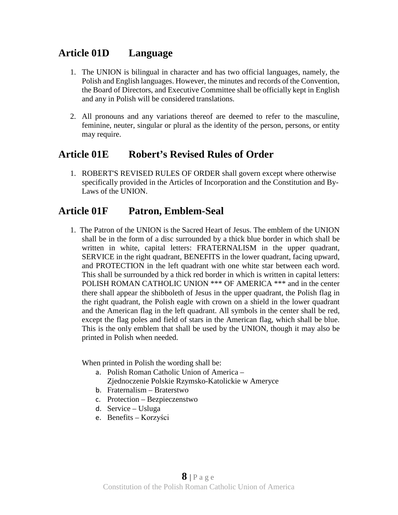### **Article 01D Language**

- 1. The UNION is bilingual in character and has two official languages, namely, the Polish and English languages. However, the minutes and records of the Convention, the Board of Directors, and Executive Committee shall be officially kept in English and any in Polish will be considered translations.
- 2. All pronouns and any variations thereof are deemed to refer to the masculine, feminine, neuter, singular or plural as the identity of the person, persons, or entity may require.

### **Article 01E Robert's Revised Rules of Order**

1. ROBERT'S REVISED RULES OF ORDER shall govern except where otherwise specifically provided in the Articles of Incorporation and the Constitution and By-Laws of the UNION.

### **Article 01F Patron, Emblem-Seal**

1. The Patron of the UNION is the Sacred Heart of Jesus. The emblem of the UNION shall be in the form of a disc surrounded by a thick blue border in which shall be written in white, capital letters: FRATERNALISM in the upper quadrant, SERVICE in the right quadrant, BENEFITS in the lower quadrant, facing upward, and PROTECTION in the left quadrant with one white star between each word. This shall be surrounded by a thick red border in which is written in capital letters: POLISH ROMAN CATHOLIC UNION \*\*\* OF AMERICA \*\*\* and in the center there shall appear the shibboleth of Jesus in the upper quadrant, the Polish flag in the right quadrant, the Polish eagle with crown on a shield in the lower quadrant and the American flag in the left quadrant. All symbols in the center shall be red, except the flag poles and field of stars in the American flag, which shall be blue. This is the only emblem that shall be used by the UNION, though it may also be printed in Polish when needed.

When printed in Polish the wording shall be:

- a. Polish Roman Catholic Union of America Zjednoczenie Polskie Rzymsko-Katolickie w Ameryce
- b. Fraternalism Braterstwo
- c. Protection Bezpieczenstwo
- d. Service Usluga
- e. Benefits Korzyści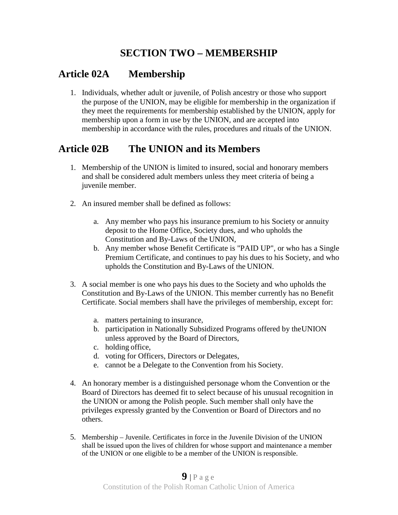# **SECTION TWO – MEMBERSHIP**

# <span id="page-8-0"></span>**Article 02A Membership**

1. Individuals, whether adult or juvenile, of Polish ancestry or those who support the purpose of the UNION, may be eligible for membership in the organization if they meet the requirements for membership established by the UNION, apply for membership upon a form in use by the UNION, and are accepted into membership in accordance with the rules, procedures and rituals of the UNION.

# **Article 02B The UNION and its Members**

- 1. Membership of the UNION is limited to insured, social and honorary members and shall be considered adult members unless they meet criteria of being a juvenile member.
- 2. An insured member shall be defined as follows:
	- a. Any member who pays his insurance premium to his Society or annuity deposit to the Home Office, Society dues, and who upholds the Constitution and By-Laws of the UNION,
	- b. Any member whose Benefit Certificate is "PAID UP", or who has a Single Premium Certificate, and continues to pay his dues to his Society, and who upholds the Constitution and By-Laws of the UNION.
- 3. A social member is one who pays his dues to the Society and who upholds the Constitution and By-Laws of the UNION. This member currently has no Benefit Certificate. Social members shall have the privileges of membership, except for:
	- a. matters pertaining to insurance,
	- b. participation in Nationally Subsidized Programs offered by the UNION unless approved by the Board of Directors,
	- c. holding office,
	- d. voting for Officers, Directors or Delegates,
	- e. cannot be a Delegate to the Convention from his Society.
- 4. An honorary member is a distinguished personage whom the Convention or the Board of Directors has deemed fit to select because of his unusual recognition in the UNION or among the Polish people. Such member shall only have the privileges expressly granted by the Convention or Board of Directors and no others.
- 5. Membership Juvenile. Certificates in force in the Juvenile Division of the UNION shall be issued upon the lives of children for whose support and maintenance a member of the UNION or one eligible to be a member of the UNION is responsible.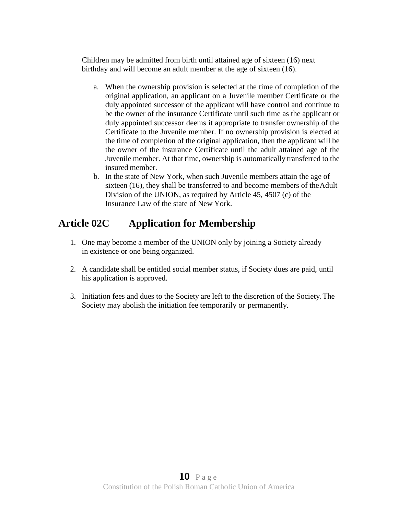Children may be admitted from birth until attained age of sixteen (16) next birthday and will become an adult member at the age of sixteen (16).

- a. When the ownership provision is selected at the time of completion of the original application, an applicant on a Juvenile member Certificate or the duly appointed successor of the applicant will have control and continue to be the owner of the insurance Certificate until such time as the applicant or duly appointed successor deems it appropriate to transfer ownership of the Certificate to the Juvenile member. If no ownership provision is elected at the time of completion of the original application, then the applicant will be the owner of the insurance Certificate until the adult attained age of the Juvenile member. At that time, ownership is automatically transferred to the insured member.
- b. In the state of New York, when such Juvenile members attain the age of sixteen (16), they shall be transferred to and become members of the Adult Division of the UNION, as required by Article 45, 4507 (c) of the Insurance Law of the state of New York.

# **Article 02C Application for Membership**

- 1. One may become a member of the UNION only by joining a Society already in existence or one being organized.
- 2. A candidate shall be entitled social member status, if Society dues are paid, until his application is approved.
- 3. Initiation fees and dues to the Society are left to the discretion of the Society.The Society may abolish the initiation fee temporarily or permanently.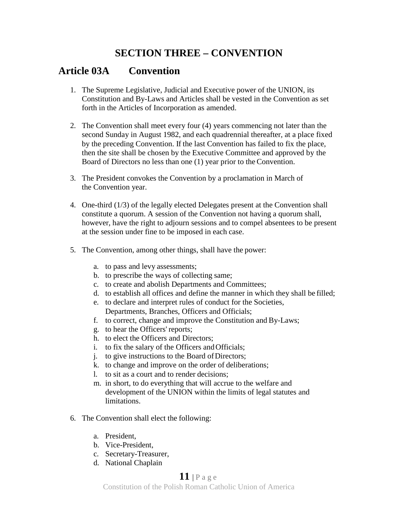### **SECTION THREE – CONVENTION**

### <span id="page-10-0"></span>**Article 03A Convention**

- 1. The Supreme Legislative, Judicial and Executive power of the UNION, its Constitution and By-Laws and Articles shall be vested in the Convention as set forth in the Articles of Incorporation as amended.
- 2. The Convention shall meet every four (4) years commencing not later than the second Sunday in August 1982, and each quadrennial thereafter, at a place fixed by the preceding Convention. If the last Convention has failed to fix the place, then the site shall be chosen by the Executive Committee and approved by the Board of Directors no less than one (1) year prior to the Convention.
- 3. The President convokes the Convention by a proclamation in March of the Convention year.
- 4. One-third (1/3) of the legally elected Delegates present at the Convention shall constitute a quorum. A session of the Convention not having a quorum shall, however, have the right to adjourn sessions and to compel absentees to be present at the session under fine to be imposed in each case.
- 5. The Convention, among other things, shall have the power:
	- a. to pass and levy assessments;
	- b. to prescribe the ways of collecting same;
	- c. to create and abolish Departments and Committees;
	- d. to establish all offices and define the manner in which they shall be filled;
	- e. to declare and interpret rules of conduct for the Societies, Departments, Branches, Officers and Officials;
	- f. to correct, change and improve the Constitution and By-Laws;
	- g. to hear the Officers' reports;
	- h. to elect the Officers and Directors;
	- i. to fix the salary of the Officers and Officials;
	- j. to give instructions to the Board of Directors;
	- k. to change and improve on the order of deliberations;
	- l. to sit as a court and to render decisions;
	- m. in short, to do everything that will accrue to the welfare and development of the UNION within the limits of legal statutes and limitations.
- 6. The Convention shall elect the following:
	- a. President,
	- b. Vice-President,
	- c. Secretary-Treasurer,
	- d. National Chaplain

### **11** | P a g e

Constitution of the Polish Roman Catholic Union of America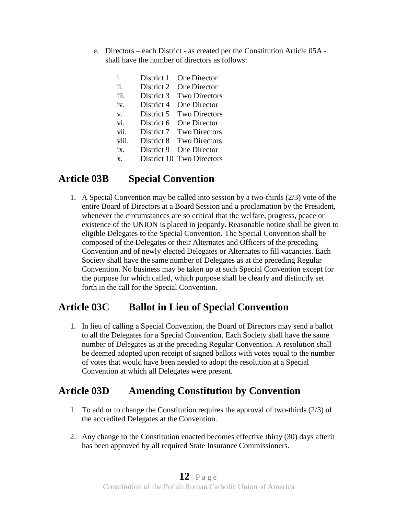e. Directors – each District - as created per the Constitution Article 05A shall have the number of directors as follows:

| i.             | District 1  | <b>One Director</b>  |
|----------------|-------------|----------------------|
| ij.            | District 2  | One Director         |
| iii.           | District 3  | <b>Two Directors</b> |
| iv.            | District 4  | <b>One Director</b>  |
| V.             | District 5  | <b>Two Directors</b> |
| vi.            | District 6  | <b>One Director</b>  |
| vii.           | District 7  | <b>Two Directors</b> |
| viii.          | District 8  | <b>Two Directors</b> |
| ix.            | District 9  | <b>One Director</b>  |
| $\mathbf{x}$ . | District 10 | <b>Two Directors</b> |

### **Article 03B Special Convention**

1. A Special Convention may be called into session by a two-thirds (2/3) vote of the entire Board of Directors at a Board Session and a proclamation by the President, whenever the circumstances are so critical that the welfare, progress, peace or existence of the UNION is placed in jeopardy. Reasonable notice shall be given to eligible Delegates to the Special Convention. The Special Convention shall be composed of the Delegates or their Alternates and Officers of the preceding Convention and of newly elected Delegates or Alternates to fill vacancies. Each Society shall have the same number of Delegates as at the preceding Regular Convention. No business may be taken up at such Special Convention except for the purpose for which called, which purpose shall be clearly and distinctly set forth in the call for the Special Convention.

### **Article 03C Ballot in Lieu of Special Convention**

1. In lieu of calling a Special Convention, the Board of Directors may send a ballot to all the Delegates for a Special Convention. Each Society shall have the same number of Delegates as at the preceding Regular Convention. A resolution shall be deemed adopted upon receipt of signed ballots with votes equal to the number of votes that would have been needed to adopt the resolution at a Special Convention at which all Delegates were present.

### **Article 03D Amending Constitution by Convention**

- 1. To add or to change the Constitution requires the approval of two-thirds (2/3) of the accredited Delegates at the Convention.
- 2. Any change to the Constitution enacted becomes effective thirty (30) days after it has been approved by all required State Insurance Commissioners.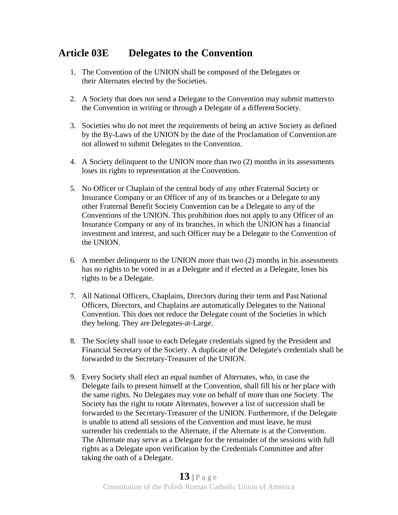### **Article 03E Delegates to the Convention**

- 1. The Convention of the UNION shall be composed of the Delegates or their Alternates elected by the Societies.
- 2. A Society that does not send a Delegate to the Convention may submit matters to the Convention in writing or through a Delegate of a different Society.
- 3. Societies who do not meet the requirements of being an active Society as defined by the By-Laws of the UNION by the date of the Proclamation of Convention are not allowed to submit Delegates to the Convention.
- 4. A Society delinquent to the UNION more than two (2) months in its assessments loses its rights to representation at the Convention.
- 5. No Officer or Chaplain of the central body of any other Fraternal Society or Insurance Company or an Officer of any of its branches or a Delegate to any other Fraternal Benefit Society Convention can be a Delegate to any of the Conventions of the UNION. This prohibition does not apply to any Officer of an Insurance Company or any of its branches, in which the UNION has a financial investment and interest, and such Officer may be a Delegate to the Convention of the UNION.
- 6. A member delinquent to the UNION more than two (2) months in his assessments has no rights to be voted in as a Delegate and if elected as a Delegate, loses his rights to be a Delegate.
- 7. All National Officers, Chaplains, Directors during their term and Past National Officers, Directors, and Chaplains are automatically Delegates to the National Convention. This does not reduce the Delegate count of the Societies in which they belong. They are Delegates-at-Large.
- 8. The Society shall issue to each Delegate credentials signed by the President and Financial Secretary of the Society. A duplicate of the Delegate's credentials shall be forwarded to the Secretary-Treasurer of the UNION.
- 9. Every Society shall elect an equal number of Alternates, who, in case the Delegate fails to present himself at the Convention, shall fill his or her place with the same rights. No Delegates may vote on behalf of more than one Society. The Society has the right to rotate Alternates, however a list of succession shall be forwarded to the Secretary-Treasurer of the UNION. Furthermore, if the Delegate is unable to attend all sessions of the Convention and must leave, he must surrender his credentials to the Alternate, if the Alternate is at the Convention. The Alternate may serve as a Delegate for the remainder of the sessions with full rights as a Delegate upon verification by the Credentials Committee and after taking the oath of a Delegate.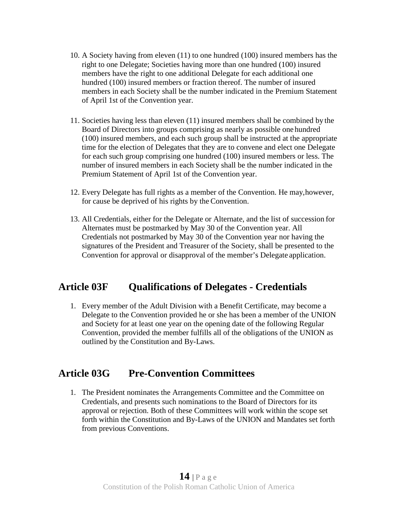- 10. A Society having from eleven (11) to one hundred (100) insured members has the right to one Delegate; Societies having more than one hundred (100) insured members have the right to one additional Delegate for each additional one hundred (100) insured members or fraction thereof. The number of insured members in each Society shall be the number indicated in the Premium Statement of April 1st of the Convention year.
- 11. Societies having less than eleven (11) insured members shall be combined by the Board of Directors into groups comprising as nearly as possible one hundred (100) insured members, and each such group shall be instructed at the appropriate time for the election of Delegates that they are to convene and elect one Delegate for each such group comprising one hundred (100) insured members or less. The number of insured members in each Society shall be the number indicated in the Premium Statement of April 1st of the Convention year.
- 12. Every Delegate has full rights as a member of the Convention. He may, however, for cause be deprived of his rights by the Convention.
- 13. All Credentials, either for the Delegate or Alternate, and the list of succession for Alternates must be postmarked by May 30 of the Convention year. All Credentials not postmarked by May 30 of the Convention year nor having the signatures of the President and Treasurer of the Society, shall be presented to the Convention for approval or disapproval of the member's Delegate application.

### **Article 03F Qualifications of Delegates - Credentials**

1. Every member of the Adult Division with a Benefit Certificate, may become a Delegate to the Convention provided he or she has been a member of the UNION and Society for at least one year on the opening date of the following Regular Convention, provided the member fulfills all of the obligations of the UNION as outlined by the Constitution and By-Laws.

### **Article 03G Pre-Convention Committees**

1. The President nominates the Arrangements Committee and the Committee on Credentials, and presents such nominations to the Board of Directors for its approval or rejection. Both of these Committees will work within the scope set forth within the Constitution and By-Laws of the UNION and Mandates set forth from previous Conventions.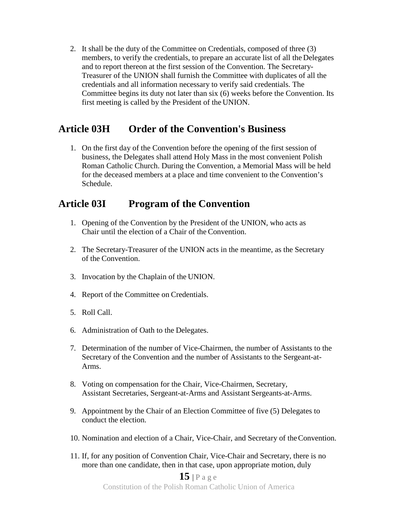2. It shall be the duty of the Committee on Credentials, composed of three (3) members, to verify the credentials, to prepare an accurate list of all the Delegates and to report thereon at the first session of the Convention. The Secretary-Treasurer of the UNION shall furnish the Committee with duplicates of all the credentials and all information necessary to verify said credentials. The Committee begins its duty not later than six (6) weeks before the Convention. Its first meeting is called by the President of the UNION.

### **Article 03H Order of the Convention's Business**

1. On the first day of the Convention before the opening of the first session of business, the Delegates shall attend Holy Mass in the most convenient Polish Roman Catholic Church. During the Convention, a Memorial Mass will be held for the deceased members at a place and time convenient to the Convention's Schedule.

### **Article 03I Program of the Convention**

- 1. Opening of the Convention by the President of the UNION, who acts as Chair until the election of a Chair of the Convention.
- 2. The Secretary-Treasurer of the UNION acts in the meantime, as the Secretary of the Convention.
- 3. Invocation by the Chaplain of the UNION.
- 4. Report of the Committee on Credentials.
- 5. Roll Call.
- 6. Administration of Oath to the Delegates.
- 7. Determination of the number of Vice-Chairmen, the number of Assistants to the Secretary of the Convention and the number of Assistants to the Sergeant-at-Arms.
- 8. Voting on compensation for the Chair, Vice-Chairmen, Secretary, Assistant Secretaries, Sergeant-at-Arms and Assistant Sergeants-at-Arms.
- 9. Appointment by the Chair of an Election Committee of five (5) Delegates to conduct the election.
- 10. Nomination and election of a Chair, Vice-Chair, and Secretary of the Convention.
- 11. If, for any position of Convention Chair, Vice-Chair and Secretary, there is no more than one candidate, then in that case, upon appropriate motion, duly

#### **15** | P a g e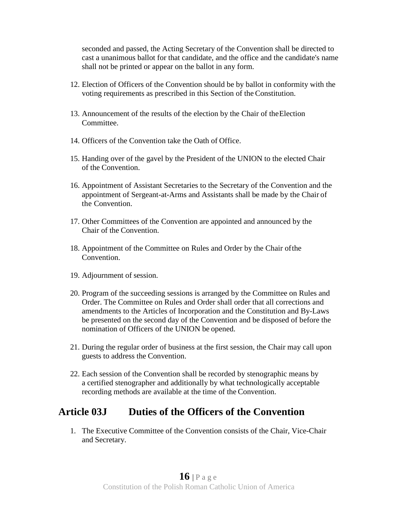seconded and passed, the Acting Secretary of the Convention shall be directed to cast a unanimous ballot for that candidate, and the office and the candidate's name shall not be printed or appear on the ballot in any form.

- 12. Election of Officers of the Convention should be by ballot in conformity with the voting requirements as prescribed in this Section of the Constitution.
- 13. Announcement of the results of the election by the Chair of the Election Committee.
- 14. Officers of the Convention take the Oath of Office.
- 15. Handing over of the gavel by the President of the UNION to the elected Chair of the Convention.
- 16. Appointment of Assistant Secretaries to the Secretary of the Convention and the appointment of Sergeant-at-Arms and Assistants shall be made by the Chair of the Convention.
- 17. Other Committees of the Convention are appointed and announced by the Chair of the Convention.
- 18. Appointment of the Committee on Rules and Order by the Chair of the Convention.
- 19. Adjournment of session.
- 20. Program of the succeeding sessions is arranged by the Committee on Rules and Order. The Committee on Rules and Order shall order that all corrections and amendments to the Articles of Incorporation and the Constitution and By-Laws be presented on the second day of the Convention and be disposed of before the nomination of Officers of the UNION be opened.
- 21. During the regular order of business at the first session, the Chair may call upon guests to address the Convention.
- 22. Each session of the Convention shall be recorded by stenographic means by a certified stenographer and additionally by what technologically acceptable recording methods are available at the time of the Convention.

### **Article 03J Duties of the Officers of the Convention**

1. The Executive Committee of the Convention consists of the Chair, Vice-Chair and Secretary.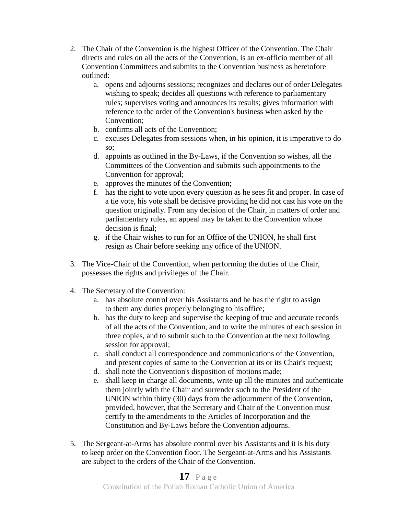- 2. The Chair of the Convention is the highest Officer of the Convention. The Chair directs and rules on all the acts of the Convention, is an ex-officio member of all Convention Committees and submits to the Convention business as heretofore outlined:
	- a. opens and adjourns sessions; recognizes and declares out of order Delegates wishing to speak; decides all questions with reference to parliamentary rules; supervises voting and announces its results; gives information with reference to the order of the Convention's business when asked by the Convention;
	- b. confirms all acts of the Convention;
	- c. excuses Delegates from sessions when, in his opinion, it is imperative to do so;
	- d. appoints as outlined in the By-Laws, if the Convention so wishes, all the Committees of the Convention and submits such appointments to the Convention for approval;
	- e. approves the minutes of the Convention;
	- f. has the right to vote upon every question as he sees fit and proper. In case of a tie vote, his vote shall be decisive providing he did not cast his vote on the question originally. From any decision of the Chair, in matters of order and parliamentary rules, an appeal may be taken to the Convention whose decision is final;
	- g. if the Chair wishes to run for an Office of the UNION, he shall first resign as Chair before seeking any office of the UNION.
- 3. The Vice-Chair of the Convention, when performing the duties of the Chair, possesses the rights and privileges of the Chair.
- 4. The Secretary of the Convention:
	- a. has absolute control over his Assistants and he has the right to assign to them any duties properly belonging to his office;
	- b. has the duty to keep and supervise the keeping of true and accurate records of all the acts of the Convention, and to write the minutes of each session in three copies, and to submit such to the Convention at the next following session for approval;
	- c. shall conduct all correspondence and communications of the Convention, and present copies of same to the Convention at its or its Chair's request;
	- d. shall note the Convention's disposition of motions made;
	- e. shall keep in charge all documents, write up all the minutes and authenticate them jointly with the Chair and surrender such to the President of the UNION within thirty (30) days from the adjournment of the Convention, provided, however, that the Secretary and Chair of the Convention must certify to the amendments to the Articles of Incorporation and the Constitution and By-Laws before the Convention adjourns.
- 5. The Sergeant-at-Arms has absolute control over his Assistants and it is his duty to keep order on the Convention floor. The Sergeant-at-Arms and his Assistants are subject to the orders of the Chair of the Convention.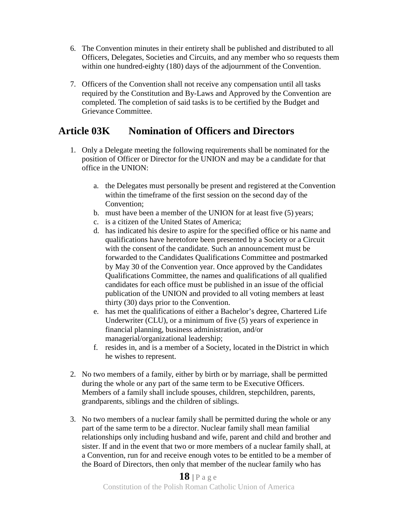- 6. The Convention minutes in their entirety shall be published and distributed to all Officers, Delegates, Societies and Circuits, and any member who so requests them within one hundred-eighty (180) days of the adjournment of the Convention.
- 7. Officers of the Convention shall not receive any compensation until all tasks required by the Constitution and By-Laws and Approved by the Convention are completed. The completion of said tasks is to be certified by the Budget and Grievance Committee.

### **Article 03K Nomination of Officers and Directors**

- 1. Only a Delegate meeting the following requirements shall be nominated for the position of Officer or Director for the UNION and may be a candidate for that office in the UNION:
	- a. the Delegates must personally be present and registered at the Convention within the timeframe of the first session on the second day of the Convention;
	- b. must have been a member of the UNION for at least five (5) years;
	- c. is a citizen of the United States of America;
	- d. has indicated his desire to aspire for the specified office or his name and qualifications have heretofore been presented by a Society or a Circuit with the consent of the candidate. Such an announcement must be forwarded to the Candidates Qualifications Committee and postmarked by May 30 of the Convention year. Once approved by the Candidates Qualifications Committee, the names and qualifications of all qualified candidates for each office must be published in an issue of the official publication of the UNION and provided to all voting members at least thirty (30) days prior to the Convention.
	- e. has met the qualifications of either a Bachelor's degree, Chartered Life Underwriter (CLU), or a minimum of five (5) years of experience in financial planning, business administration, and/or managerial/organizational leadership;
	- f. resides in, and is a member of a Society, located in the District in which he wishes to represent.
- 2. No two members of a family, either by birth or by marriage, shall be permitted during the whole or any part of the same term to be Executive Officers. Members of a family shall include spouses, children, stepchildren, parents, grandparents, siblings and the children of siblings.
- 3. No two members of a nuclear family shall be permitted during the whole or any part of the same term to be a director. Nuclear family shall mean familial relationships only including husband and wife, parent and child and brother and sister. If and in the event that two or more members of a nuclear family shall, at a Convention, run for and receive enough votes to be entitled to be a member of the Board of Directors, then only that member of the nuclear family who has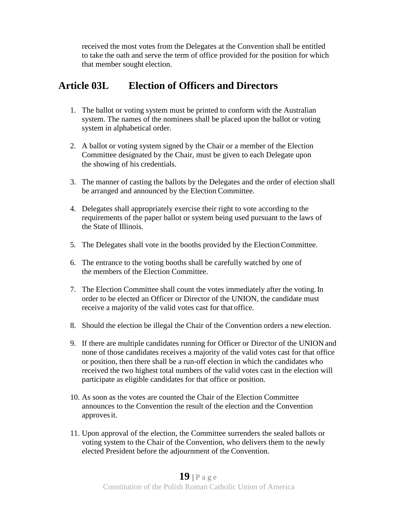received the most votes from the Delegates at the Convention shall be entitled to take the oath and serve the term of office provided for the position for which that member sought election.

### **Article 03L Election of Officers and Directors**

- 1. The ballot or voting system must be printed to conform with the Australian system. The names of the nominees shall be placed upon the ballot or voting system in alphabetical order.
- 2. A ballot or voting system signed by the Chair or a member of the Election Committee designated by the Chair, must be given to each Delegate upon the showing of his credentials.
- 3. The manner of casting the ballots by the Delegates and the order of election shall be arranged and announced by the Election Committee.
- 4. Delegates shall appropriately exercise their right to vote according to the requirements of the paper ballot or system being used pursuant to the laws of the State of Illinois.
- 5. The Delegates shall vote in the booths provided by the Election Committee.
- 6. The entrance to the voting booths shall be carefully watched by one of the members of the Election Committee.
- 7. The Election Committee shall count the votes immediately after the voting. In order to be elected an Officer or Director of the UNION, the candidate must receive a majority of the valid votes cast for that office.
- 8. Should the election be illegal the Chair of the Convention orders a new election.
- 9. If there are multiple candidates running for Officer or Director of the UNION and none of those candidates receives a majority of the valid votes cast for that office or position, then there shall be a run-off election in which the candidates who received the two highest total numbers of the valid votes cast in the election will participate as eligible candidates for that office or position.
- 10. As soon as the votes are counted the Chair of the Election Committee announces to the Convention the result of the election and the Convention approves it.
- 11. Upon approval of the election, the Committee surrenders the sealed ballots or voting system to the Chair of the Convention, who delivers them to the newly elected President before the adjournment of the Convention.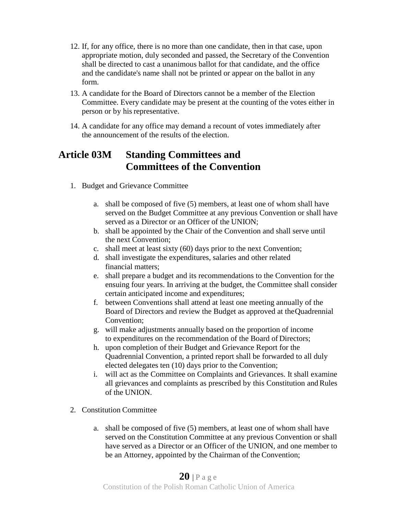- 12. If, for any office, there is no more than one candidate, then in that case, upon appropriate motion, duly seconded and passed, the Secretary of the Convention shall be directed to cast a unanimous ballot for that candidate, and the office and the candidate's name shall not be printed or appear on the ballot in any form.
- 13. A candidate for the Board of Directors cannot be a member of the Election Committee. Every candidate may be present at the counting of the votes either in person or by his representative.
- 14. A candidate for any office may demand a recount of votes immediately after the announcement of the results of the election.

### **Article 03M Standing Committees and Committees of the Convention**

- 1. Budget and Grievance Committee
	- a. shall be composed of five (5) members, at least one of whom shall have served on the Budget Committee at any previous Convention or shall have served as a Director or an Officer of the UNION;
	- b. shall be appointed by the Chair of the Convention and shall serve until the next Convention;
	- c. shall meet at least sixty (60) days prior to the next Convention;
	- d. shall investigate the expenditures, salaries and other related financial matters;
	- e. shall prepare a budget and its recommendations to the Convention for the ensuing four years. In arriving at the budget, the Committee shall consider certain anticipated income and expenditures;
	- f. between Conventions shall attend at least one meeting annually of the Board of Directors and review the Budget as approved at the Quadrennial Convention;
	- g. will make adjustments annually based on the proportion of income to expenditures on the recommendation of the Board of Directors;
	- h. upon completion of their Budget and Grievance Report for the Quadrennial Convention, a printed report shall be forwarded to all duly elected delegates ten (10) days prior to the Convention;
	- i. will act as the Committee on Complaints and Grievances. It shall examine all grievances and complaints as prescribed by this Constitution and Rules of the UNION.
- 2. Constitution Committee
	- a. shall be composed of five (5) members, at least one of whom shall have served on the Constitution Committee at any previous Convention or shall have served as a Director or an Officer of the UNION, and one member to be an Attorney, appointed by the Chairman of the Convention;

### **20** | P a g e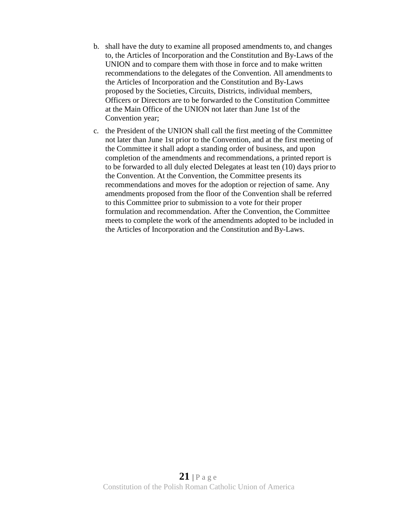- b. shall have the duty to examine all proposed amendments to, and changes to, the Articles of Incorporation and the Constitution and By-Laws of the UNION and to compare them with those in force and to make written recommendations to the delegates of the Convention. All amendments to the Articles of Incorporation and the Constitution and By-Laws proposed by the Societies, Circuits, Districts, individual members, Officers or Directors are to be forwarded to the Constitution Committee at the Main Office of the UNION not later than June 1st of the Convention year;
- c. the President of the UNION shall call the first meeting of the Committee not later than June 1st prior to the Convention, and at the first meeting of the Committee it shall adopt a standing order of business, and upon completion of the amendments and recommendations, a printed report is to be forwarded to all duly elected Delegates at least ten (10) days prior to the Convention. At the Convention, the Committee presents its recommendations and moves for the adoption or rejection of same. Any amendments proposed from the floor of the Convention shall be referred to this Committee prior to submission to a vote for their proper formulation and recommendation. After the Convention, the Committee meets to complete the work of the amendments adopted to be included in the Articles of Incorporation and the Constitution and By-Laws.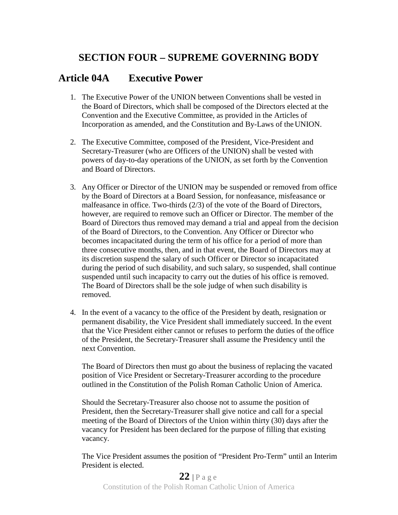# **SECTION FOUR – SUPREME GOVERNING BODY**

### <span id="page-21-0"></span>**Article 04A Executive Power**

- 1. The Executive Power of the UNION between Conventions shall be vested in the Board of Directors, which shall be composed of the Directors elected at the Convention and the Executive Committee, as provided in the Articles of Incorporation as amended, and the Constitution and By-Laws of the UNION.
- 2. The Executive Committee, composed of the President, Vice-President and Secretary-Treasurer (who are Officers of the UNION) shall be vested with powers of day-to-day operations of the UNION, as set forth by the Convention and Board of Directors.
- 3. Any Officer or Director of the UNION may be suspended or removed from office by the Board of Directors at a Board Session, for nonfeasance, misfeasance or malfeasance in office. Two-thirds (2/3) of the vote of the Board of Directors, however, are required to remove such an Officer or Director. The member of the Board of Directors thus removed may demand a trial and appeal from the decision of the Board of Directors, to the Convention. Any Officer or Director who becomes incapacitated during the term of his office for a period of more than three consecutive months, then, and in that event, the Board of Directors may at its discretion suspend the salary of such Officer or Director so incapacitated during the period of such disability, and such salary, so suspended, shall continue suspended until such incapacity to carry out the duties of his office is removed. The Board of Directors shall be the sole judge of when such disability is removed.
- 4. In the event of a vacancy to the office of the President by death, resignation or permanent disability, the Vice President shall immediately succeed. In the event that the Vice President either cannot or refuses to perform the duties of the office of the President, the Secretary-Treasurer shall assume the Presidency until the next Convention.

The Board of Directors then must go about the business of replacing the vacated position of Vice President or Secretary-Treasurer according to the procedure outlined in the Constitution of the Polish Roman Catholic Union of America.

Should the Secretary-Treasurer also choose not to assume the position of President, then the Secretary-Treasurer shall give notice and call for a special meeting of the Board of Directors of the Union within thirty (30) days after the vacancy for President has been declared for the purpose of filling that existing vacancy.

The Vice President assumes the position of "President Pro-Term" until an Interim President is elected.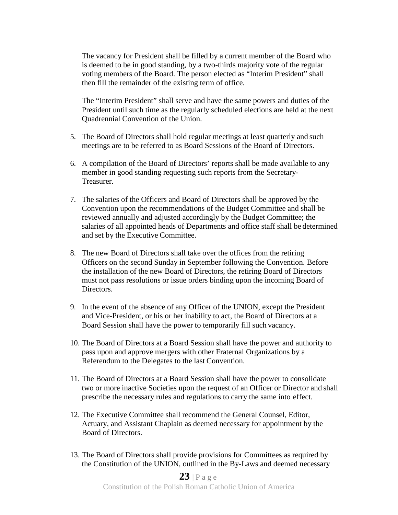The vacancy for President shall be filled by a current member of the Board who is deemed to be in good standing, by a two-thirds majority vote of the regular voting members of the Board. The person elected as "Interim President" shall then fill the remainder of the existing term of office.

The "Interim President" shall serve and have the same powers and duties of the President until such time as the regularly scheduled elections are held at the next Quadrennial Convention of the Union.

- 5. The Board of Directors shall hold regular meetings at least quarterly and such meetings are to be referred to as Board Sessions of the Board of Directors.
- 6. A compilation of the Board of Directors' reports shall be made available to any member in good standing requesting such reports from the Secretary-Treasurer.
- 7. The salaries of the Officers and Board of Directors shall be approved by the Convention upon the recommendations of the Budget Committee and shall be reviewed annually and adjusted accordingly by the Budget Committee; the salaries of all appointed heads of Departments and office staff shall be determined and set by the Executive Committee.
- 8. The new Board of Directors shall take over the offices from the retiring Officers on the second Sunday in September following the Convention. Before the installation of the new Board of Directors, the retiring Board of Directors must not pass resolutions or issue orders binding upon the incoming Board of Directors.
- 9. In the event of the absence of any Officer of the UNION, except the President and Vice-President, or his or her inability to act, the Board of Directors at a Board Session shall have the power to temporarily fill such vacancy.
- 10. The Board of Directors at a Board Session shall have the power and authority to pass upon and approve mergers with other Fraternal Organizations by a Referendum to the Delegates to the last Convention.
- 11. The Board of Directors at a Board Session shall have the power to consolidate two or more inactive Societies upon the request of an Officer or Director and shall prescribe the necessary rules and regulations to carry the same into effect.
- 12. The Executive Committee shall recommend the General Counsel, Editor, Actuary, and Assistant Chaplain as deemed necessary for appointment by the Board of Directors.
- 13. The Board of Directors shall provide provisions for Committees as required by the Constitution of the UNION, outlined in the By-Laws and deemed necessary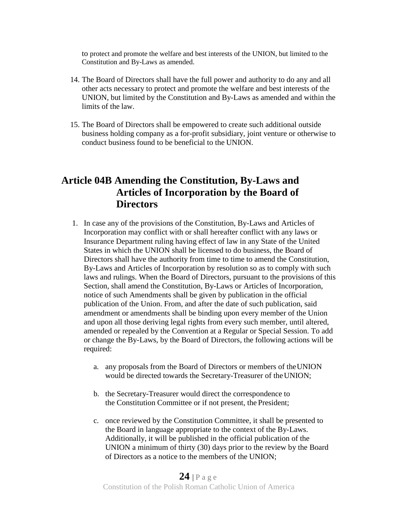to protect and promote the welfare and best interests of the UNION, but limited to the Constitution and By-Laws as amended.

- 14. The Board of Directors shall have the full power and authority to do any and all other acts necessary to protect and promote the welfare and best interests of the UNION, but limited by the Constitution and By-Laws as amended and within the limits of the law.
- 15. The Board of Directors shall be empowered to create such additional outside business holding company as a for-profit subsidiary, joint venture or otherwise to conduct business found to be beneficial to the UNION.

### **Article 04B Amending the Constitution, By-Laws and Articles of Incorporation by the Board of Directors**

- 1. In case any of the provisions of the Constitution, By-Laws and Articles of Incorporation may conflict with or shall hereafter conflict with any laws or Insurance Department ruling having effect of law in any State of the United States in which the UNION shall be licensed to do business, the Board of Directors shall have the authority from time to time to amend the Constitution, By-Laws and Articles of Incorporation by resolution so as to comply with such laws and rulings. When the Board of Directors, pursuant to the provisions of this Section, shall amend the Constitution, By-Laws or Articles of Incorporation, notice of such Amendments shall be given by publication in the official publication of the Union. From, and after the date of such publication, said amendment or amendments shall be binding upon every member of the Union and upon all those deriving legal rights from every such member, until altered, amended or repealed by the Convention at a Regular or Special Session. To add or change the By-Laws, by the Board of Directors, the following actions will be required:
	- a. any proposals from the Board of Directors or members of the UNION would be directed towards the Secretary-Treasurer of the UNION;
	- b. the Secretary-Treasurer would direct the correspondence to the Constitution Committee or if not present, the President;
	- c. once reviewed by the Constitution Committee, it shall be presented to the Board in language appropriate to the context of the By-Laws. Additionally, it will be published in the official publication of the UNION a minimum of thirty (30) days prior to the review by the Board of Directors as a notice to the members of the UNION;

#### **24** | P a g e Constitution of the Polish Roman Catholic Union of America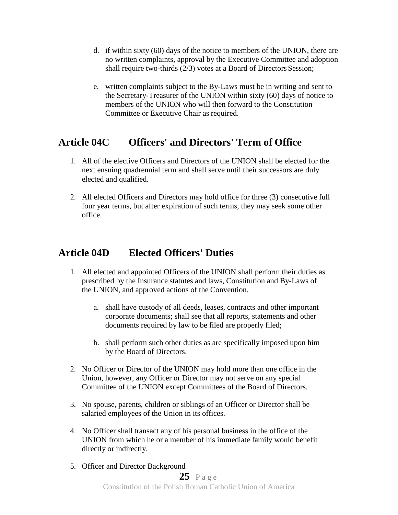- d. if within sixty (60) days of the notice to members of the UNION, there are no written complaints, approval by the Executive Committee and adoption shall require two-thirds (2/3) votes at a Board of Directors Session;
- e. written complaints subject to the By-Laws must be in writing and sent to the Secretary-Treasurer of the UNION within sixty (60) days of notice to members of the UNION who will then forward to the Constitution Committee or Executive Chair as required.

### **Article 04C Officers' and Directors' Term of Office**

- 1. All of the elective Officers and Directors of the UNION shall be elected for the next ensuing quadrennial term and shall serve until their successors are duly elected and qualified.
- 2. All elected Officers and Directors may hold office for three (3) consecutive full four year terms, but after expiration of such terms, they may seek some other office.

### **Article 04D Elected Officers' Duties**

- 1. All elected and appointed Officers of the UNION shall perform their duties as prescribed by the Insurance statutes and laws, Constitution and By-Laws of the UNION, and approved actions of the Convention.
	- a. shall have custody of all deeds, leases, contracts and other important corporate documents; shall see that all reports, statements and other documents required by law to be filed are properly filed;
	- b. shall perform such other duties as are specifically imposed upon him by the Board of Directors.
- 2. No Officer or Director of the UNION may hold more than one office in the Union, however, any Officer or Director may not serve on any special Committee of the UNION except Committees of the Board of Directors.
- 3. No spouse, parents, children or siblings of an Officer or Director shall be salaried employees of the Union in its offices.
- 4. No Officer shall transact any of his personal business in the office of the UNION from which he or a member of his immediate family would benefit directly or indirectly.
- 5. Officer and Director Background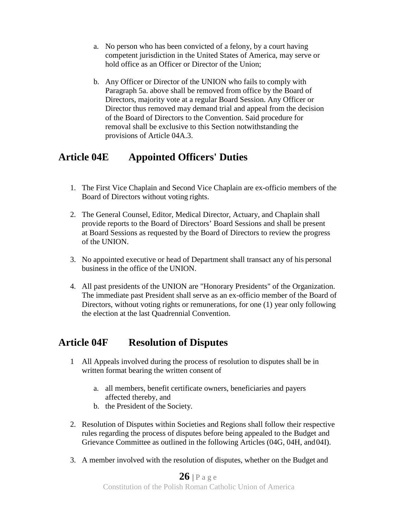- a. No person who has been convicted of a felony, by a court having competent jurisdiction in the United States of America, may serve or hold office as an Officer or Director of the Union;
- b. Any Officer or Director of the UNION who fails to comply with Paragraph 5a. above shall be removed from office by the Board of Directors, majority vote at a regular Board Session. Any Officer or Director thus removed may demand trial and appeal from the decision of the Board of Directors to the Convention. Said procedure for removal shall be exclusive to this Section notwithstanding the provisions of Article 04A.3.

### **Article 04E Appointed Officers' Duties**

- 1. The First Vice Chaplain and Second Vice Chaplain are ex-officio members of the Board of Directors without voting rights.
- 2. The General Counsel, Editor, Medical Director, Actuary, and Chaplain shall provide reports to the Board of Directors' Board Sessions and shall be present at Board Sessions as requested by the Board of Directors to review the progress of the UNION.
- 3. No appointed executive or head of Department shall transact any of his personal business in the office of the UNION.
- 4. All past presidents of the UNION are "Honorary Presidents" of the Organization. The immediate past President shall serve as an ex-officio member of the Board of Directors, without voting rights or remunerations, for one (1) year only following the election at the last Quadrennial Convention.

# **Article 04F Resolution of Disputes**

- 1 All Appeals involved during the process of resolution to disputes shall be in written format bearing the written consent of
	- a. all members, benefit certificate owners, beneficiaries and payers affected thereby, and
	- b. the President of the Society.
- 2. Resolution of Disputes within Societies and Regions shall follow their respective rules regarding the process of disputes before being appealed to the Budget and Grievance Committee as outlined in the following Articles (04G, 04H, and 04I).
- 3. A member involved with the resolution of disputes, whether on the Budget and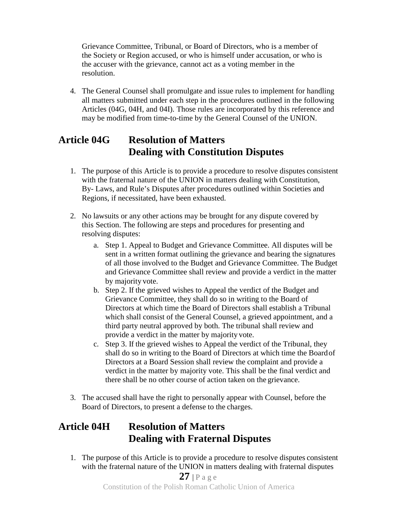Grievance Committee, Tribunal, or Board of Directors, who is a member of the Society or Region accused, or who is himself under accusation, or who is the accuser with the grievance, cannot act as a voting member in the resolution.

4. The General Counsel shall promulgate and issue rules to implement for handling all matters submitted under each step in the procedures outlined in the following Articles (04G, 04H, and 04I). Those rules are incorporated by this reference and may be modified from time-to-time by the General Counsel of the UNION.

### **Article 04G Resolution of Matters Dealing with Constitution Disputes**

- 1. The purpose of this Article is to provide a procedure to resolve disputes consistent with the fraternal nature of the UNION in matters dealing with Constitution, By- Laws, and Rule's Disputes after procedures outlined within Societies and Regions, if necessitated, have been exhausted.
- 2. No lawsuits or any other actions may be brought for any dispute covered by this Section. The following are steps and procedures for presenting and resolving disputes:
	- a. Step 1. Appeal to Budget and Grievance Committee. All disputes will be sent in a written format outlining the grievance and bearing the signatures of all those involved to the Budget and Grievance Committee. The Budget and Grievance Committee shall review and provide a verdict in the matter by majority vote.
	- b. Step 2. If the grieved wishes to Appeal the verdict of the Budget and Grievance Committee, they shall do so in writing to the Board of Directors at which time the Board of Directors shall establish a Tribunal which shall consist of the General Counsel, a grieved appointment, and a third party neutral approved by both. The tribunal shall review and provide a verdict in the matter by majority vote.
	- c. Step 3. If the grieved wishes to Appeal the verdict of the Tribunal, they shall do so in writing to the Board of Directors at which time the Board of Directors at a Board Session shall review the complaint and provide a verdict in the matter by majority vote. This shall be the final verdict and there shall be no other course of action taken on the grievance.
- 3. The accused shall have the right to personally appear with Counsel, before the Board of Directors, to present a defense to the charges.

# **Article 04H Resolution of Matters Dealing with Fraternal Disputes**

1. The purpose of this Article is to provide a procedure to resolve disputes consistent with the fraternal nature of the UNION in matters dealing with fraternal disputes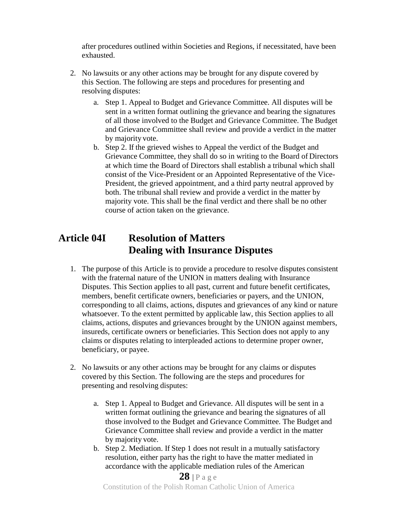after procedures outlined within Societies and Regions, if necessitated, have been exhausted.

- 2. No lawsuits or any other actions may be brought for any dispute covered by this Section. The following are steps and procedures for presenting and resolving disputes:
	- a. Step 1. Appeal to Budget and Grievance Committee. All disputes will be sent in a written format outlining the grievance and bearing the signatures of all those involved to the Budget and Grievance Committee. The Budget and Grievance Committee shall review and provide a verdict in the matter by majority vote.
	- b. Step 2. If the grieved wishes to Appeal the verdict of the Budget and Grievance Committee, they shall do so in writing to the Board of Directors at which time the Board of Directors shall establish a tribunal which shall consist of the Vice-President or an Appointed Representative of the Vice-President, the grieved appointment, and a third party neutral approved by both. The tribunal shall review and provide a verdict in the matter by majority vote. This shall be the final verdict and there shall be no other course of action taken on the grievance.

### **Article 04I Resolution of Matters Dealing with Insurance Disputes**

- 1. The purpose of this Article is to provide a procedure to resolve disputes consistent with the fraternal nature of the UNION in matters dealing with Insurance Disputes. This Section applies to all past, current and future benefit certificates, members, benefit certificate owners, beneficiaries or payers, and the UNION, corresponding to all claims, actions, disputes and grievances of any kind or nature whatsoever. To the extent permitted by applicable law, this Section applies to all claims, actions, disputes and grievances brought by the UNION against members, insureds, certificate owners or beneficiaries. This Section does not apply to any claims or disputes relating to interpleaded actions to determine proper owner, beneficiary, or payee.
- 2. No lawsuits or any other actions may be brought for any claims or disputes covered by this Section. The following are the steps and procedures for presenting and resolving disputes:
	- a. Step 1. Appeal to Budget and Grievance. All disputes will be sent in a written format outlining the grievance and bearing the signatures of all those involved to the Budget and Grievance Committee. The Budget and Grievance Committee shall review and provide a verdict in the matter by majority vote.
	- b. Step 2. Mediation. If Step 1 does not result in a mutually satisfactory resolution, either party has the right to have the matter mediated in accordance with the applicable mediation rules of the American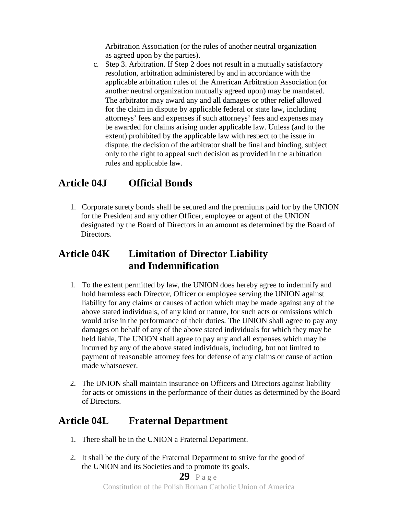Arbitration Association (or the rules of another neutral organization as agreed upon by the parties).

c. Step 3. Arbitration. If Step 2 does not result in a mutually satisfactory resolution, arbitration administered by and in accordance with the applicable arbitration rules of the American Arbitration Association (or another neutral organization mutually agreed upon) may be mandated. The arbitrator may award any and all damages or other relief allowed for the claim in dispute by applicable federal or state law, including attorneys' fees and expenses if such attorneys' fees and expenses may be awarded for claims arising under applicable law. Unless (and to the extent) prohibited by the applicable law with respect to the issue in dispute, the decision of the arbitrator shall be final and binding, subject only to the right to appeal such decision as provided in the arbitration rules and applicable law.

# **Article 04J Official Bonds**

1. Corporate surety bonds shall be secured and the premiums paid for by the UNION for the President and any other Officer, employee or agent of the UNION designated by the Board of Directors in an amount as determined by the Board of Directors.

### **Article 04K Limitation of Director Liability and Indemnification**

- 1. To the extent permitted by law, the UNION does hereby agree to indemnify and hold harmless each Director, Officer or employee serving the UNION against liability for any claims or causes of action which may be made against any of the above stated individuals, of any kind or nature, for such acts or omissions which would arise in the performance of their duties. The UNION shall agree to pay any damages on behalf of any of the above stated individuals for which they may be held liable. The UNION shall agree to pay any and all expenses which may be incurred by any of the above stated individuals, including, but not limited to payment of reasonable attorney fees for defense of any claims or cause of action made whatsoever.
- 2. The UNION shall maintain insurance on Officers and Directors against liability for acts or omissions in the performance of their duties as determined by the Board of Directors.

# **Article 04L Fraternal Department**

- 1. There shall be in the UNION a Fraternal Department.
- 2. It shall be the duty of the Fraternal Department to strive for the good of the UNION and its Societies and to promote its goals.

#### **29** | P a g e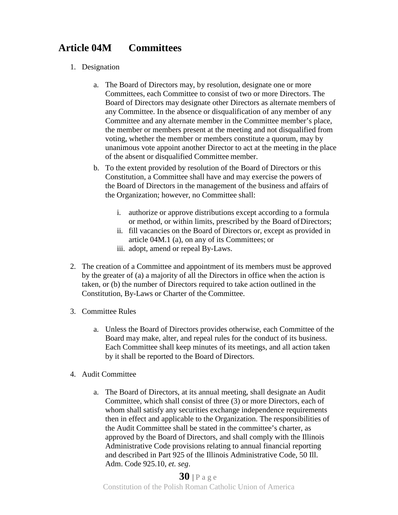### **Article 04M Committees**

- 1. Designation
	- a. The Board of Directors may, by resolution, designate one or more Committees, each Committee to consist of two or more Directors. The Board of Directors may designate other Directors as alternate members of any Committee. In the absence or disqualification of any member of any Committee and any alternate member in the Committee member's place, the member or members present at the meeting and not disqualified from voting, whether the member or members constitute a quorum, may by unanimous vote appoint another Director to act at the meeting in the place of the absent or disqualified Committee member.
	- b. To the extent provided by resolution of the Board of Directors or this Constitution, a Committee shall have and may exercise the powers of the Board of Directors in the management of the business and affairs of the Organization; however, no Committee shall:
		- i. authorize or approve distributions except according to a formula or method, or within limits, prescribed by the Board of Directors;
		- ii. fill vacancies on the Board of Directors or, except as provided in article 04M.1 (a), on any of its Committees; or
		- iii. adopt, amend or repeal By-Laws.
- 2. The creation of a Committee and appointment of its members must be approved by the greater of (a) a majority of all the Directors in office when the action is taken, or (b) the number of Directors required to take action outlined in the Constitution, By-Laws or Charter of the Committee.
- 3. Committee Rules
	- a. Unless the Board of Directors provides otherwise, each Committee of the Board may make, alter, and repeal rules for the conduct of its business. Each Committee shall keep minutes of its meetings, and all action taken by it shall be reported to the Board of Directors.
- 4. Audit Committee
	- a. The Board of Directors, at its annual meeting, shall designate an Audit Committee, which shall consist of three (3) or more Directors, each of whom shall satisfy any securities exchange independence requirements then in effect and applicable to the Organization. The responsibilities of the Audit Committee shall be stated in the committee's charter, as approved by the Board of Directors, and shall comply with the Illinois Administrative Code provisions relating to annual financial reporting and described in Part 925 of the Illinois Administrative Code, 50 Ill. Adm. Code 925.10, *et. seg*.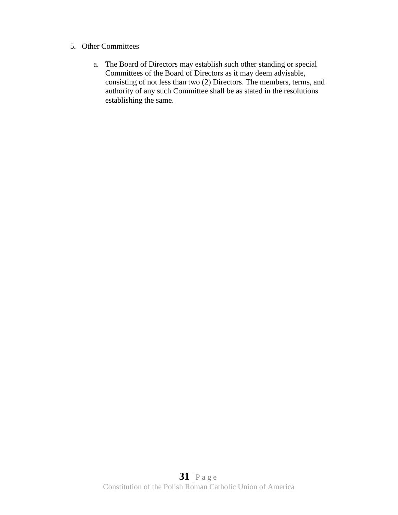#### 5. Other Committees

a. The Board of Directors may establish such other standing or special Committees of the Board of Directors as it may deem advisable, consisting of not less than two (2) Directors. The members, terms, and authority of any such Committee shall be as stated in the resolutions establishing the same.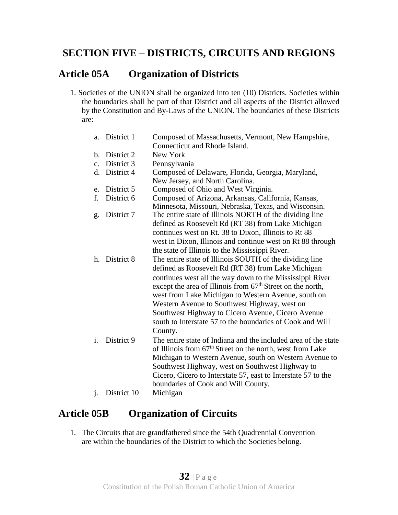# <span id="page-31-0"></span>**SECTION FIVE – DISTRICTS, CIRCUITS AND REGIONS**

### **Article 05A Organization of Districts**

1. Societies of the UNION shall be organized into ten (10) Districts. Societies within the boundaries shall be part of that District and all aspects of the District allowed by the Constitution and By-Laws of the UNION. The boundaries of these Districts are:

| a.             | District 1  | Composed of Massachusetts, Vermont, New Hampshire,                    |
|----------------|-------------|-----------------------------------------------------------------------|
|                |             | Connecticut and Rhode Island.                                         |
| b.             | District 2  | New York                                                              |
| $C_{\star}$    | District 3  | Pennsylvania                                                          |
| d.             | District 4  | Composed of Delaware, Florida, Georgia, Maryland,                     |
|                |             | New Jersey, and North Carolina.                                       |
| e.             | District 5  | Composed of Ohio and West Virginia.                                   |
| f.             | District 6  | Composed of Arizona, Arkansas, California, Kansas,                    |
|                |             | Minnesota, Missouri, Nebraska, Texas, and Wisconsin.                  |
| g.             | District 7  | The entire state of Illinois NORTH of the dividing line               |
|                |             | defined as Roosevelt Rd (RT 38) from Lake Michigan                    |
|                |             | continues west on Rt. 38 to Dixon, Illinois to Rt 88                  |
|                |             | west in Dixon, Illinois and continue west on Rt 88 through            |
|                |             | the state of Illinois to the Mississippi River.                       |
| h.             | District 8  | The entire state of Illinois SOUTH of the dividing line               |
|                |             | defined as Roosevelt Rd (RT 38) from Lake Michigan                    |
|                |             | continues west all the way down to the Mississippi River              |
|                |             | except the area of Illinois from $67th$ Street on the north,          |
|                |             | west from Lake Michigan to Western Avenue, south on                   |
|                |             | Western Avenue to Southwest Highway, west on                          |
|                |             | Southwest Highway to Cicero Avenue, Cicero Avenue                     |
|                |             | south to Interstate 57 to the boundaries of Cook and Will             |
|                |             | County.                                                               |
| $\mathbf{i}$ . | District 9  | The entire state of Indiana and the included area of the state        |
|                |             | of Illinois from 67 <sup>th</sup> Street on the north, west from Lake |
|                |             | Michigan to Western Avenue, south on Western Avenue to                |
|                |             | Southwest Highway, west on Southwest Highway to                       |
|                |             | Cicero, Cicero to Interstate 57, east to Interstate 57 to the         |
|                |             | boundaries of Cook and Will County.                                   |
| $\cdot$        | District 10 | Michigan                                                              |
|                |             |                                                                       |

### **Article 05B Organization of Circuits**

1. The Circuits that are grandfathered since the 54th Quadrennial Convention are within the boundaries of the District to which the Societies belong.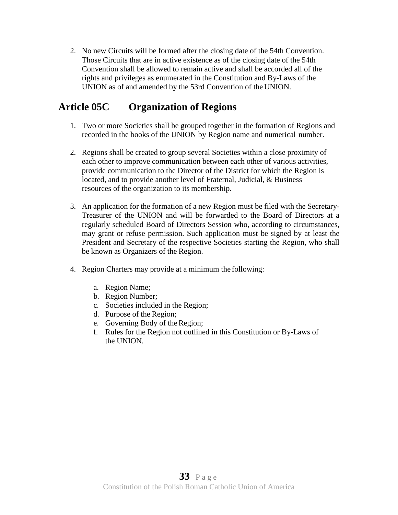2. No new Circuits will be formed after the closing date of the 54th Convention. Those Circuits that are in active existence as of the closing date of the 54th Convention shall be allowed to remain active and shall be accorded all of the rights and privileges as enumerated in the Constitution and By-Laws of the UNION as of and amended by the 53rd Convention of the UNION.

# **Article 05C Organization of Regions**

- 1. Two or more Societies shall be grouped together in the formation of Regions and recorded in the books of the UNION by Region name and numerical number.
- 2. Regions shall be created to group several Societies within a close proximity of each other to improve communication between each other of various activities, provide communication to the Director of the District for which the Region is located, and to provide another level of Fraternal, Judicial, & Business resources of the organization to its membership.
- 3. An application for the formation of a new Region must be filed with the Secretary-Treasurer of the UNION and will be forwarded to the Board of Directors at a regularly scheduled Board of Directors Session who, according to circumstances, may grant or refuse permission. Such application must be signed by at least the President and Secretary of the respective Societies starting the Region, who shall be known as Organizers of the Region.
- 4. Region Charters may provide at a minimum the following:
	- a. Region Name;
	- b. Region Number;
	- c. Societies included in the Region;
	- d. Purpose of the Region;
	- e. Governing Body of the Region;
	- f. Rules for the Region not outlined in this Constitution or By-Laws of the UNION.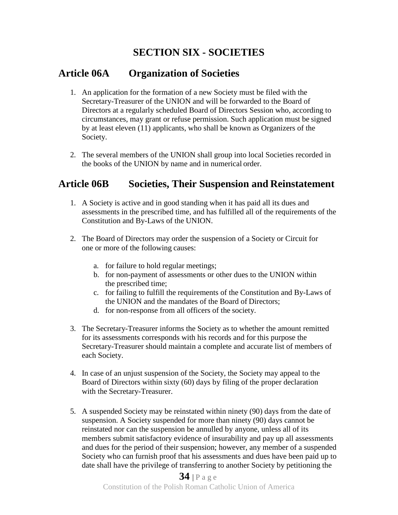# **SECTION SIX - SOCIETIES**

### <span id="page-33-0"></span>**Article 06A Organization of Societies**

- 1. An application for the formation of a new Society must be filed with the Secretary-Treasurer of the UNION and will be forwarded to the Board of Directors at a regularly scheduled Board of Directors Session who, according to circumstances, may grant or refuse permission. Such application must be signed by at least eleven (11) applicants, who shall be known as Organizers of the Society.
- 2. The several members of the UNION shall group into local Societies recorded in the books of the UNION by name and in numerical order.

### **Article 06B Societies, Their Suspension and Reinstatement**

- 1. A Society is active and in good standing when it has paid all its dues and assessments in the prescribed time, and has fulfilled all of the requirements of the Constitution and By-Laws of the UNION.
- 2. The Board of Directors may order the suspension of a Society or Circuit for one or more of the following causes:
	- a. for failure to hold regular meetings;
	- b. for non-payment of assessments or other dues to the UNION within the prescribed time;
	- c. for failing to fulfill the requirements of the Constitution and By-Laws of the UNION and the mandates of the Board of Directors;
	- d. for non-response from all officers of the society.
- 3. The Secretary-Treasurer informs the Society as to whether the amount remitted for its assessments corresponds with his records and for this purpose the Secretary-Treasurer should maintain a complete and accurate list of members of each Society.
- 4. In case of an unjust suspension of the Society, the Society may appeal to the Board of Directors within sixty (60) days by filing of the proper declaration with the Secretary-Treasurer.
- 5. A suspended Society may be reinstated within ninety (90) days from the date of suspension. A Society suspended for more than ninety (90) days cannot be reinstated nor can the suspension be annulled by anyone, unless all of its members submit satisfactory evidence of insurability and pay up all assessments and dues for the period of their suspension; however, any member of a suspended Society who can furnish proof that his assessments and dues have been paid up to date shall have the privilege of transferring to another Society by petitioning the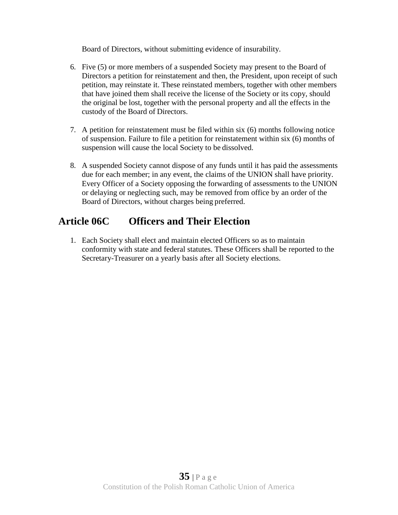Board of Directors, without submitting evidence of insurability.

- 6. Five (5) or more members of a suspended Society may present to the Board of Directors a petition for reinstatement and then, the President, upon receipt of such petition, may reinstate it. These reinstated members, together with other members that have joined them shall receive the license of the Society or its copy, should the original be lost, together with the personal property and all the effects in the custody of the Board of Directors.
- 7. A petition for reinstatement must be filed within six (6) months following notice of suspension. Failure to file a petition for reinstatement within six (6) months of suspension will cause the local Society to be dissolved.
- 8. A suspended Society cannot dispose of any funds until it has paid the assessments due for each member; in any event, the claims of the UNION shall have priority. Every Officer of a Society opposing the forwarding of assessments to the UNION or delaying or neglecting such, may be removed from office by an order of the Board of Directors, without charges being preferred.

### **Article 06C Officers and Their Election**

1. Each Society shall elect and maintain elected Officers so as to maintain conformity with state and federal statutes. These Officers shall be reported to the Secretary-Treasurer on a yearly basis after all Society elections.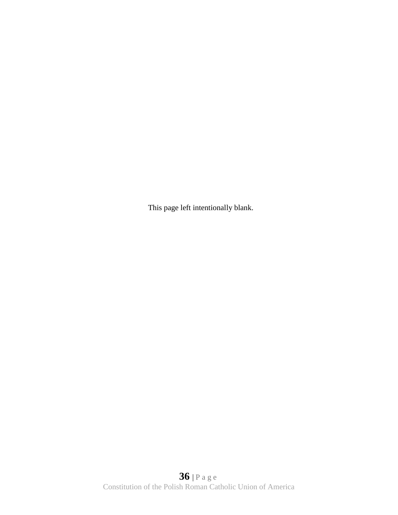This page left intentionally blank.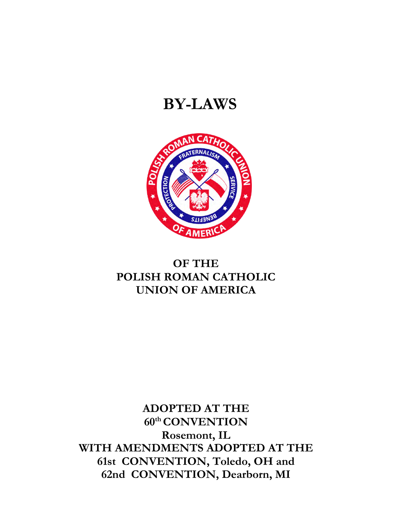# **BY-LAWS**



## **OF THE POLISH ROMAN CATHOLIC UNION OF AMERICA**

**ADOPTED AT THE 60th CONVENTION Rosemont, IL WITH AMENDMENTS ADOPTED AT THE 61st CONVENTION, Toledo, OH and 62nd CONVENTION, Dearborn, MI**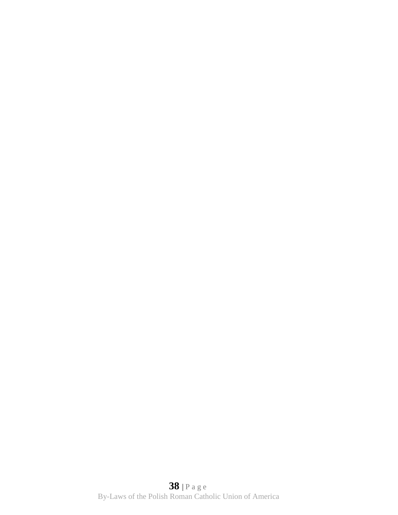**38** | P a g e By-Laws of the Polish Roman Catholic Union of America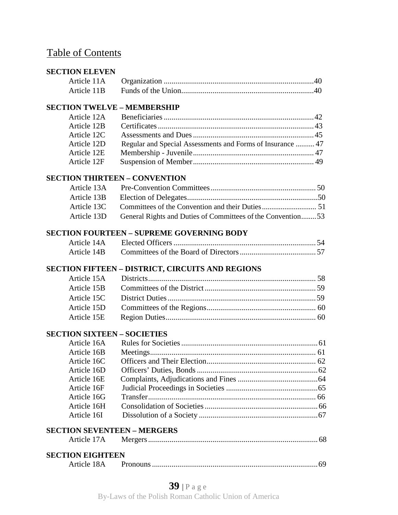### Table of Contents

#### **SECTION ELEVEN**

| Article 11A |  |
|-------------|--|
| Article 11B |  |

#### **[SECTION TWELVE – MEMBERSHIP](#page-41-0)**

| Article 12A |                                                            |  |
|-------------|------------------------------------------------------------|--|
| Article 12B |                                                            |  |
| Article 12C |                                                            |  |
| Article 12D | Regular and Special Assessments and Forms of Insurance  47 |  |
| Article 12E |                                                            |  |
| Article 12F |                                                            |  |

#### **[SECTION THIRTEEN – CONVENTION](#page-49-0)**

| Article 13D | General Rights and Duties of Committees of the Convention53 |  |
|-------------|-------------------------------------------------------------|--|

#### **[SECTION FOURTEEN – SUPREME GOVERNING BODY](#page-53-0)**

| Article 14A |  |
|-------------|--|
| Article 14B |  |

#### **SECTION FIFTEEN – DISTRICT, CIRCUITS AND REGIONS**

#### **[SECTION SIXTEEN – SOCIETIES](#page-60-0)**

| Article 16A |  |
|-------------|--|
| Article 16B |  |
| Article 16C |  |
| Article 16D |  |
| Article 16E |  |
| Article 16F |  |
| Article 16G |  |
| Article 16H |  |
| Article 16I |  |
|             |  |

#### **[SECTION SEVENTEEN – MERGERS](#page-67-0)**

| Article 17A |  |  |
|-------------|--|--|
|-------------|--|--|

#### **[SECTION EIGHTEEN](#page-67-2)**

| Article 18A |  |  |
|-------------|--|--|
|-------------|--|--|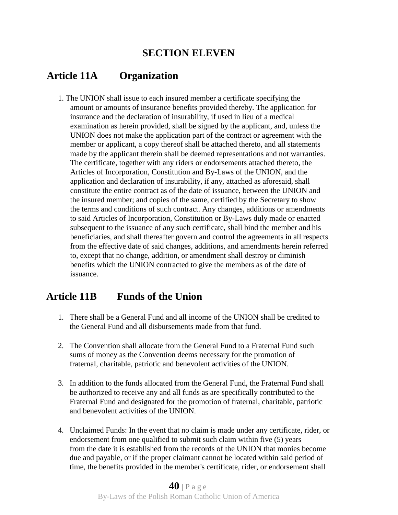## **SECTION ELEVEN**

## <span id="page-39-0"></span>**Article 11A Organization**

1. The UNION shall issue to each insured member a certificate specifying the amount or amounts of insurance benefits provided thereby. The application for insurance and the declaration of insurability, if used in lieu of a medical examination as herein provided, shall be signed by the applicant, and, unless the UNION does not make the application part of the contract or agreement with the member or applicant, a copy thereof shall be attached thereto, and all statements made by the applicant therein shall be deemed representations and not warranties. The certificate, together with any riders or endorsements attached thereto, the Articles of Incorporation, Constitution and By-Laws of the UNION, and the application and declaration of insurability, if any, attached as aforesaid, shall constitute the entire contract as of the date of issuance, between the UNION and the insured member; and copies of the same, certified by the Secretary to show the terms and conditions of such contract. Any changes, additions or amendments to said Articles of Incorporation, Constitution or By-Laws duly made or enacted subsequent to the issuance of any such certificate, shall bind the member and his beneficiaries, and shall thereafter govern and control the agreements in all respects from the effective date of said changes, additions, and amendments herein referred to, except that no change, addition, or amendment shall destroy or diminish benefits which the UNION contracted to give the members as of the date of issuance.

#### <span id="page-39-1"></span>**Article 11B Funds of the Union**

- 1. There shall be a General Fund and all income of the UNION shall be credited to the General Fund and all disbursements made from that fund.
- 2. The Convention shall allocate from the General Fund to a Fraternal Fund such sums of money as the Convention deems necessary for the promotion of fraternal, charitable, patriotic and benevolent activities of the UNION.
- 3. In addition to the funds allocated from the General Fund, the Fraternal Fund shall be authorized to receive any and all funds as are specifically contributed to the Fraternal Fund and designated for the promotion of fraternal, charitable, patriotic and benevolent activities of the UNION.
- 4. Unclaimed Funds: In the event that no claim is made under any certificate, rider, or endorsement from one qualified to submit such claim within five (5) years from the date it is established from the records of the UNION that monies become due and payable, or if the proper claimant cannot be located within said period of time, the benefits provided in the member's certificate, rider, or endorsement shall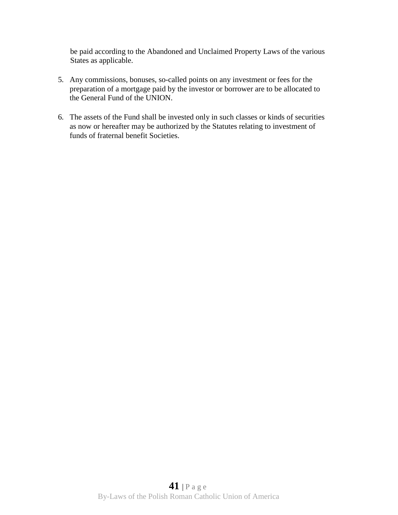be paid according to the Abandoned and Unclaimed Property Laws of the various States as applicable.

- 5. Any commissions, bonuses, so-called points on any investment or fees for the preparation of a mortgage paid by the investor or borrower are to be allocated to the General Fund of the UNION.
- 6. The assets of the Fund shall be invested only in such classes or kinds of securities as now or hereafter may be authorized by the Statutes relating to investment of funds of fraternal benefit Societies.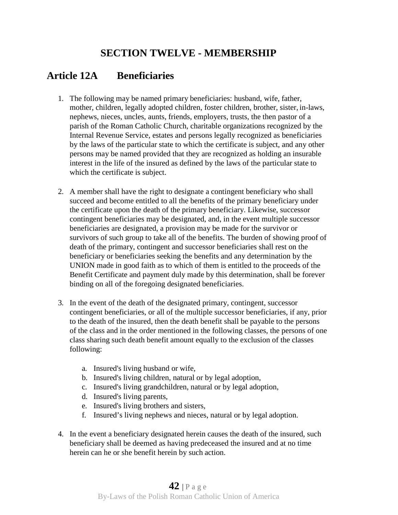## **SECTION TWELVE - MEMBERSHIP**

### <span id="page-41-1"></span><span id="page-41-0"></span>**Article 12A Beneficiaries**

- 1. The following may be named primary beneficiaries: husband, wife, father, mother, children, legally adopted children, foster children, brother, sister, in-laws, nephews, nieces, uncles, aunts, friends, employers, trusts, the then pastor of a parish of the Roman Catholic Church, charitable organizations recognized by the Internal Revenue Service, estates and persons legally recognized as beneficiaries by the laws of the particular state to which the certificate is subject, and any other persons may be named provided that they are recognized as holding an insurable interest in the life of the insured as defined by the laws of the particular state to which the certificate is subject.
- 2. A member shall have the right to designate a contingent beneficiary who shall succeed and become entitled to all the benefits of the primary beneficiary under the certificate upon the death of the primary beneficiary. Likewise, successor contingent beneficiaries may be designated, and, in the event multiple successor beneficiaries are designated, a provision may be made for the survivor or survivors of such group to take all of the benefits. The burden of showing proof of death of the primary, contingent and successor beneficiaries shall rest on the beneficiary or beneficiaries seeking the benefits and any determination by the UNION made in good faith as to which of them is entitled to the proceeds of the Benefit Certificate and payment duly made by this determination, shall be forever binding on all of the foregoing designated beneficiaries.
- 3. In the event of the death of the designated primary, contingent, successor contingent beneficiaries, or all of the multiple successor beneficiaries, if any, prior to the death of the insured, then the death benefit shall be payable to the persons of the class and in the order mentioned in the following classes, the persons of one class sharing such death benefit amount equally to the exclusion of the classes following:
	- a. Insured's living husband or wife,
	- b. Insured's living children, natural or by legal adoption,
	- c. Insured's living grandchildren, natural or by legal adoption,
	- d. Insured's living parents,
	- e. Insured's living brothers and sisters,
	- f. Insured's living nephews and nieces, natural or by legal adoption.
- 4. In the event a beneficiary designated herein causes the death of the insured, such beneficiary shall be deemed as having predeceased the insured and at no time herein can he or she benefit herein by such action.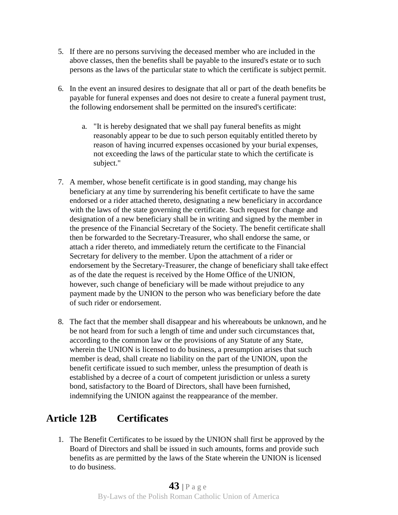- 5. If there are no persons surviving the deceased member who are included in the above classes, then the benefits shall be payable to the insured's estate or to such persons as the laws of the particular state to which the certificate is subject permit.
- 6. In the event an insured desires to designate that all or part of the death benefits be payable for funeral expenses and does not desire to create a funeral payment trust, the following endorsement shall be permitted on the insured's certificate:
	- a. "It is hereby designated that we shall pay funeral benefits as might reasonably appear to be due to such person equitably entitled thereto by reason of having incurred expenses occasioned by your burial expenses, not exceeding the laws of the particular state to which the certificate is subject."
- 7. A member, whose benefit certificate is in good standing, may change his beneficiary at any time by surrendering his benefit certificate to have the same endorsed or a rider attached thereto, designating a new beneficiary in accordance with the laws of the state governing the certificate. Such request for change and designation of a new beneficiary shall be in writing and signed by the member in the presence of the Financial Secretary of the Society. The benefit certificate shall then be forwarded to the Secretary-Treasurer, who shall endorse the same, or attach a rider thereto, and immediately return the certificate to the Financial Secretary for delivery to the member. Upon the attachment of a rider or endorsement by the Secretary-Treasurer, the change of beneficiary shall take effect as of the date the request is received by the Home Office of the UNION, however, such change of beneficiary will be made without prejudice to any payment made by the UNION to the person who was beneficiary before the date of such rider or endorsement.
- 8. The fact that the member shall disappear and his whereabouts be unknown, and he be not heard from for such a length of time and under such circumstances that, according to the common law or the provisions of any Statute of any State, wherein the UNION is licensed to do business, a presumption arises that such member is dead, shall create no liability on the part of the UNION, upon the benefit certificate issued to such member, unless the presumption of death is established by a decree of a court of competent jurisdiction or unless a surety bond, satisfactory to the Board of Directors, shall have been furnished, indemnifying the UNION against the reappearance of the member.

## <span id="page-42-0"></span>**Article 12B Certificates**

1. The Benefit Certificates to be issued by the UNION shall first be approved by the Board of Directors and shall be issued in such amounts, forms and provide such benefits as are permitted by the laws of the State wherein the UNION is licensed to do business.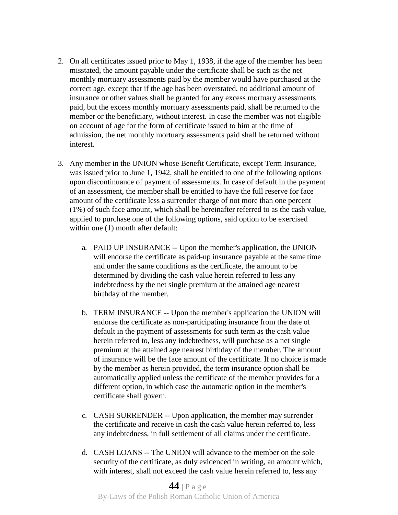- 2. On all certificates issued prior to May 1, 1938, if the age of the member has been misstated, the amount payable under the certificate shall be such as the net monthly mortuary assessments paid by the member would have purchased at the correct age, except that if the age has been overstated, no additional amount of insurance or other values shall be granted for any excess mortuary assessments paid, but the excess monthly mortuary assessments paid, shall be returned to the member or the beneficiary, without interest. In case the member was not eligible on account of age for the form of certificate issued to him at the time of admission, the net monthly mortuary assessments paid shall be returned without interest.
- 3. Any member in the UNION whose Benefit Certificate, except Term Insurance, was issued prior to June 1, 1942, shall be entitled to one of the following options upon discontinuance of payment of assessments. In case of default in the payment of an assessment, the member shall be entitled to have the full reserve for face amount of the certificate less a surrender charge of not more than one percent (1%) of such face amount, which shall be hereinafter referred to as the cash value, applied to purchase one of the following options, said option to be exercised within one  $(1)$  month after default:
	- a. PAID UP INSURANCE -- Upon the member's application, the UNION will endorse the certificate as paid-up insurance payable at the same time and under the same conditions as the certificate, the amount to be determined by dividing the cash value herein referred to less any indebtedness by the net single premium at the attained age nearest birthday of the member.
	- b. TERM INSURANCE -- Upon the member's application the UNION will endorse the certificate as non-participating insurance from the date of default in the payment of assessments for such term as the cash value herein referred to, less any indebtedness, will purchase as a net single premium at the attained age nearest birthday of the member. The amount of insurance will be the face amount of the certificate. If no choice is made by the member as herein provided, the term insurance option shall be automatically applied unless the certificate of the member provides for a different option, in which case the automatic option in the member's certificate shall govern.
	- c. CASH SURRENDER -- Upon application, the member may surrender the certificate and receive in cash the cash value herein referred to, less any indebtedness, in full settlement of all claims under the certificate.
	- d. CASH LOANS -- The UNION will advance to the member on the sole security of the certificate, as duly evidenced in writing, an amount which, with interest, shall not exceed the cash value herein referred to, less any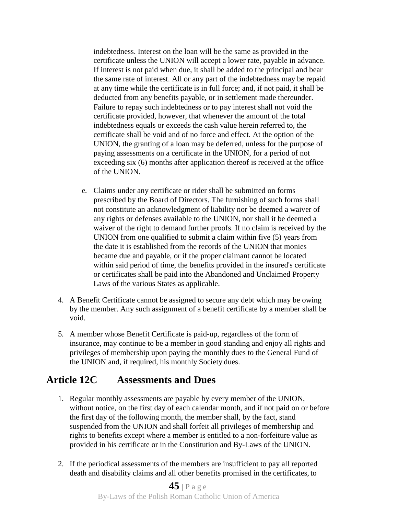indebtedness. Interest on the loan will be the same as provided in the certificate unless the UNION will accept a lower rate, payable in advance. If interest is not paid when due, it shall be added to the principal and bear the same rate of interest. All or any part of the indebtedness may be repaid at any time while the certificate is in full force; and, if not paid, it shall be deducted from any benefits payable, or in settlement made thereunder. Failure to repay such indebtedness or to pay interest shall not void the certificate provided, however, that whenever the amount of the total indebtedness equals or exceeds the cash value herein referred to, the certificate shall be void and of no force and effect. At the option of the UNION, the granting of a loan may be deferred, unless for the purpose of paying assessments on a certificate in the UNION, for a period of not exceeding six (6) months after application thereof is received at the office of the UNION.

- e. Claims under any certificate or rider shall be submitted on forms prescribed by the Board of Directors. The furnishing of such forms shall not constitute an acknowledgment of liability nor be deemed a waiver of any rights or defenses available to the UNION, nor shall it be deemed a waiver of the right to demand further proofs. If no claim is received by the UNION from one qualified to submit a claim within five (5) years from the date it is established from the records of the UNION that monies became due and payable, or if the proper claimant cannot be located within said period of time, the benefits provided in the insured's certificate or certificates shall be paid into the Abandoned and Unclaimed Property Laws of the various States as applicable.
- 4. A Benefit Certificate cannot be assigned to secure any debt which may be owing by the member. Any such assignment of a benefit certificate by a member shall be void.
- 5. A member whose Benefit Certificate is paid-up, regardless of the form of insurance, may continue to be a member in good standing and enjoy all rights and privileges of membership upon paying the monthly dues to the General Fund of the UNION and, if required, his monthly Society dues.

## <span id="page-44-0"></span>**Article 12C Assessments and Dues**

- 1. Regular monthly assessments are payable by every member of the UNION, without notice, on the first day of each calendar month, and if not paid on or before the first day of the following month, the member shall, by the fact, stand suspended from the UNION and shall forfeit all privileges of membership and rights to benefits except where a member is entitled to a non-forfeiture value as provided in his certificate or in the Constitution and By-Laws of the UNION.
- 2. If the periodical assessments of the members are insufficient to pay all reported death and disability claims and all other benefits promised in the certificates, to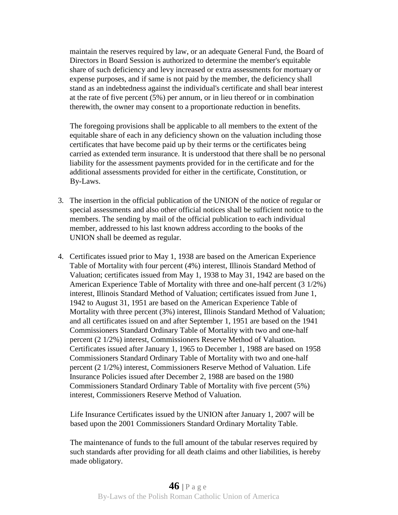maintain the reserves required by law, or an adequate General Fund, the Board of Directors in Board Session is authorized to determine the member's equitable share of such deficiency and levy increased or extra assessments for mortuary or expense purposes, and if same is not paid by the member, the deficiency shall stand as an indebtedness against the individual's certificate and shall bear interest at the rate of five percent (5%) per annum, or in lieu thereof or in combination therewith, the owner may consent to a proportionate reduction in benefits.

The foregoing provisions shall be applicable to all members to the extent of the equitable share of each in any deficiency shown on the valuation including those certificates that have become paid up by their terms or the certificates being carried as extended term insurance. It is understood that there shall be no personal liability for the assessment payments provided for in the certificate and for the additional assessments provided for either in the certificate, Constitution, or By-Laws.

- 3. The insertion in the official publication of the UNION of the notice of regular or special assessments and also other official notices shall be sufficient notice to the members. The sending by mail of the official publication to each individual member, addressed to his last known address according to the books of the UNION shall be deemed as regular.
- 4. Certificates issued prior to May 1, 1938 are based on the American Experience Table of Mortality with four percent (4%) interest, Illinois Standard Method of Valuation; certificates issued from May 1, 1938 to May 31, 1942 are based on the American Experience Table of Mortality with three and one-half percent (3 1/2%) interest, Illinois Standard Method of Valuation; certificates issued from June 1, 1942 to August 31, 1951 are based on the American Experience Table of Mortality with three percent (3%) interest, Illinois Standard Method of Valuation; and all certificates issued on and after September 1, 1951 are based on the 1941 Commissioners Standard Ordinary Table of Mortality with two and one-half percent (2 1/2%) interest, Commissioners Reserve Method of Valuation. Certificates issued after January 1, 1965 to December 1, 1988 are based on 1958 Commissioners Standard Ordinary Table of Mortality with two and one-half percent (2 1/2%) interest, Commissioners Reserve Method of Valuation. Life Insurance Policies issued after December 2, 1988 are based on the 1980 Commissioners Standard Ordinary Table of Mortality with five percent (5%) interest, Commissioners Reserve Method of Valuation.

Life Insurance Certificates issued by the UNION after January 1, 2007 will be based upon the 2001 Commissioners Standard Ordinary Mortality Table.

The maintenance of funds to the full amount of the tabular reserves required by such standards after providing for all death claims and other liabilities, is hereby made obligatory.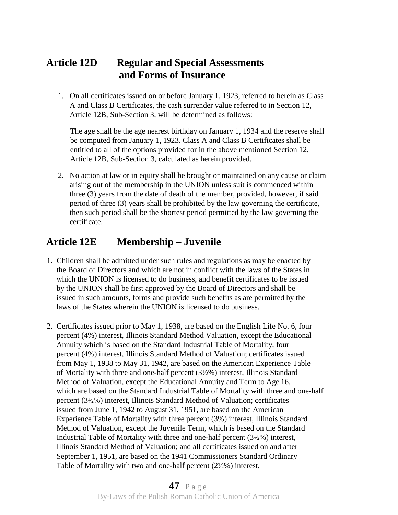## **Article 12D Regular and Special Assessments and Forms of Insurance**

1. On all certificates issued on or before January 1, 1923, referred to herein as Class A and Class B Certificates, the cash surrender value referred to in Section 12, Article 12B, Sub-Section 3, will be determined as follows:

The age shall be the age nearest birthday on January 1, 1934 and the reserve shall be computed from January 1, 1923. Class A and Class B Certificates shall be entitled to all of the options provided for in the above mentioned Section 12, Article 12B, Sub-Section 3, calculated as herein provided.

2. No action at law or in equity shall be brought or maintained on any cause or claim arising out of the membership in the UNION unless suit is commenced within three (3) years from the date of death of the member, provided, however, if said period of three (3) years shall be prohibited by the law governing the certificate, then such period shall be the shortest period permitted by the law governing the certificate.

### <span id="page-46-0"></span>**Article 12E Membership – Juvenile**

- 1. Children shall be admitted under such rules and regulations as may be enacted by the Board of Directors and which are not in conflict with the laws of the States in which the UNION is licensed to do business, and benefit certificates to be issued by the UNION shall be first approved by the Board of Directors and shall be issued in such amounts, forms and provide such benefits as are permitted by the laws of the States wherein the UNION is licensed to do business.
- 2. Certificates issued prior to May 1, 1938, are based on the English Life No. 6, four percent (4%) interest, Illinois Standard Method Valuation, except the Educational Annuity which is based on the Standard Industrial Table of Mortality, four percent (4%) interest, Illinois Standard Method of Valuation; certificates issued from May 1, 1938 to May 31, 1942, are based on the American Experience Table of Mortality with three and one-half percent (3½%) interest, Illinois Standard Method of Valuation, except the Educational Annuity and Term to Age 16, which are based on the Standard Industrial Table of Mortality with three and one-half percent (3½%) interest, Illinois Standard Method of Valuation; certificates issued from June 1, 1942 to August 31, 1951, are based on the American Experience Table of Mortality with three percent (3%) interest, Illinois Standard Method of Valuation, except the Juvenile Term, which is based on the Standard Industrial Table of Mortality with three and one-half percent (3½%) interest, Illinois Standard Method of Valuation; and all certificates issued on and after September 1, 1951, are based on the 1941 Commissioners Standard Ordinary Table of Mortality with two and one-half percent (2½%) interest,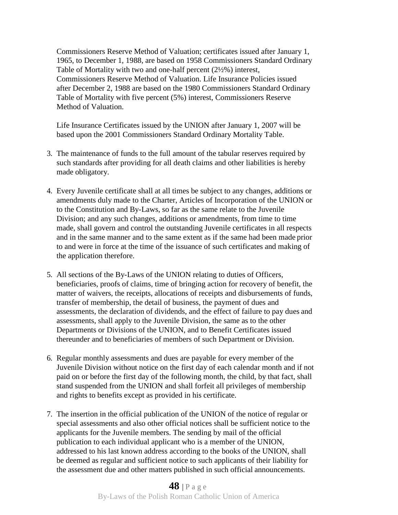Commissioners Reserve Method of Valuation; certificates issued after January 1, 1965, to December 1, 1988, are based on 1958 Commissioners Standard Ordinary Table of Mortality with two and one-half percent (2½%) interest, Commissioners Reserve Method of Valuation. Life Insurance Policies issued after December 2, 1988 are based on the 1980 Commissioners Standard Ordinary Table of Mortality with five percent (5%) interest, Commissioners Reserve Method of Valuation.

Life Insurance Certificates issued by the UNION after January 1, 2007 will be based upon the 2001 Commissioners Standard Ordinary Mortality Table.

- 3. The maintenance of funds to the full amount of the tabular reserves required by such standards after providing for all death claims and other liabilities is hereby made obligatory.
- 4. Every Juvenile certificate shall at all times be subject to any changes, additions or amendments duly made to the Charter, Articles of Incorporation of the UNION or to the Constitution and By-Laws, so far as the same relate to the Juvenile Division; and any such changes, additions or amendments, from time to time made, shall govern and control the outstanding Juvenile certificates in all respects and in the same manner and to the same extent as if the same had been made prior to and were in force at the time of the issuance of such certificates and making of the application therefore.
- 5. All sections of the By-Laws of the UNION relating to duties of Officers, beneficiaries, proofs of claims, time of bringing action for recovery of benefit, the matter of waivers, the receipts, allocations of receipts and disbursements of funds, transfer of membership, the detail of business, the payment of dues and assessments, the declaration of dividends, and the effect of failure to pay dues and assessments, shall apply to the Juvenile Division, the same as to the other Departments or Divisions of the UNION, and to Benefit Certificates issued thereunder and to beneficiaries of members of such Department or Division.
- 6. Regular monthly assessments and dues are payable for every member of the Juvenile Division without notice on the first day of each calendar month and if not paid on or before the first day of the following month, the child, by that fact, shall stand suspended from the UNION and shall forfeit all privileges of membership and rights to benefits except as provided in his certificate.
- 7. The insertion in the official publication of the UNION of the notice of regular or special assessments and also other official notices shall be sufficient notice to the applicants for the Juvenile members. The sending by mail of the official publication to each individual applicant who is a member of the UNION, addressed to his last known address according to the books of the UNION, shall be deemed as regular and sufficient notice to such applicants of their liability for the assessment due and other matters published in such official announcements.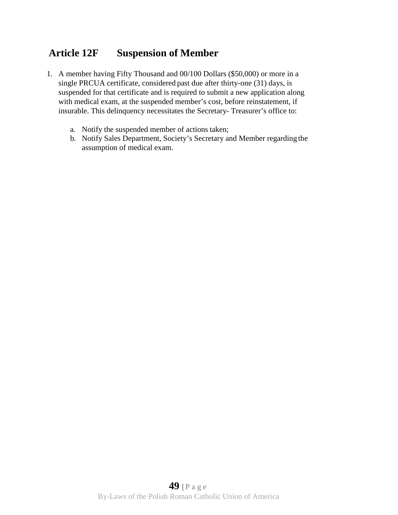## <span id="page-48-0"></span>**Article 12F Suspension of Member**

- 1. A member having Fifty Thousand and 00/100 Dollars (\$50,000) or more in a single PRCUA certificate, considered past due after thirty-one (31) days, is suspended for that certificate and is required to submit a new application along with medical exam, at the suspended member's cost, before reinstatement, if insurable. This delinquency necessitates the Secretary- Treasurer's office to:
	- a. Notify the suspended member of actions taken;
	- b. Notify Sales Department, Society's Secretary and Member regarding the assumption of medical exam.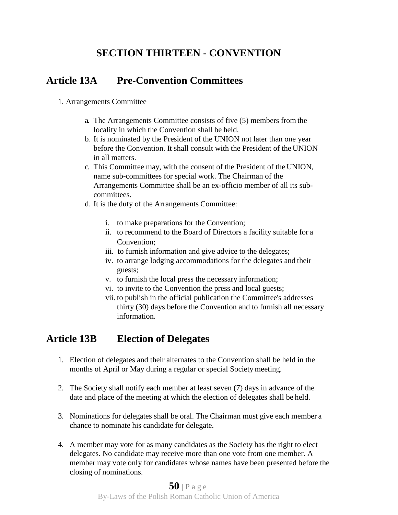## **SECTION THIRTEEN - CONVENTION**

## <span id="page-49-1"></span><span id="page-49-0"></span>**Article 13A Pre-Convention Committees**

#### 1. Arrangements Committee

- a. The Arrangements Committee consists of five (5) members from the locality in which the Convention shall be held.
- b. It is nominated by the President of the UNION not later than one year before the Convention. It shall consult with the President of the UNION in all matters.
- c. This Committee may, with the consent of the President of the UNION, name sub-committees for special work. The Chairman of the Arrangements Committee shall be an ex-officio member of all its subcommittees.
- d. It is the duty of the Arrangements Committee:
	- i. to make preparations for the Convention;
	- ii. to recommend to the Board of Directors a facility suitable for a Convention;
	- iii. to furnish information and give advice to the delegates;
	- iv. to arrange lodging accommodations for the delegates and their guests;
	- v. to furnish the local press the necessary information;
	- vi. to invite to the Convention the press and local guests;
	- vii. to publish in the official publication the Committee's addresses thirty (30) days before the Convention and to furnish all necessary information.

## <span id="page-49-2"></span>**Article 13B Election of Delegates**

- 1. Election of delegates and their alternates to the Convention shall be held in the months of April or May during a regular or special Society meeting.
- 2. The Society shall notify each member at least seven (7) days in advance of the date and place of the meeting at which the election of delegates shall be held.
- 3. Nominations for delegates shall be oral. The Chairman must give each member a chance to nominate his candidate for delegate.
- 4. A member may vote for as many candidates as the Society has the right to elect delegates. No candidate may receive more than one vote from one member. A member may vote only for candidates whose names have been presented before the closing of nominations.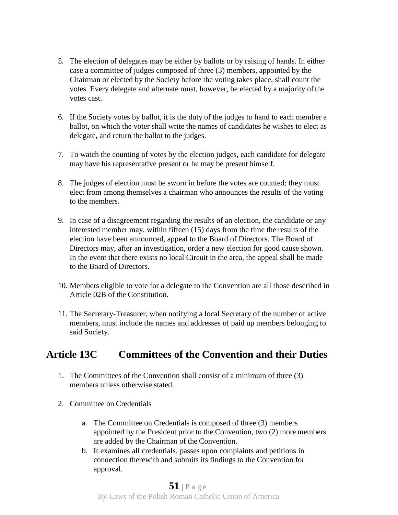- 5. The election of delegates may be either by ballots or by raising of hands. In either case a committee of judges composed of three (3) members, appointed by the Chairman or elected by the Society before the voting takes place, shall count the votes. Every delegate and alternate must, however, be elected by a majority of the votes cast.
- 6. If the Society votes by ballot, it is the duty of the judges to hand to each member a ballot, on which the voter shall write the names of candidates he wishes to elect as delegate, and return the ballot to the judges.
- 7. To watch the counting of votes by the election judges, each candidate for delegate may have his representative present or he may be present himself.
- 8. The judges of election must be sworn in before the votes are counted; they must elect from among themselves a chairman who announces the results of the voting to the members.
- 9. In case of a disagreement regarding the results of an election, the candidate or any interested member may, within fifteen (15) days from the time the results of the election have been announced, appeal to the Board of Directors. The Board of Directors may, after an investigation, order a new election for good cause shown. In the event that there exists no local Circuit in the area, the appeal shall be made to the Board of Directors.
- 10. Members eligible to vote for a delegate to the Convention are all those described in Article 02B of the Constitution.
- 11. The Secretary-Treasurer, when notifying a local Secretary of the number of active members, must include the names and addresses of paid up members belonging to said Society.

## <span id="page-50-0"></span>**Article 13C Committees of the Convention and their Duties**

- 1. The Committees of the Convention shall consist of a minimum of three (3) members unless otherwise stated.
- 2. Committee on Credentials
	- a. The Committee on Credentials is composed of three (3) members appointed by the President prior to the Convention, two (2) more members are added by the Chairman of the Convention.
	- b. It examines all credentials, passes upon complaints and petitions in connection therewith and submits its findings to the Convention for approval.

#### **51** | P a g e By-Laws of the Polish Roman Catholic Union of America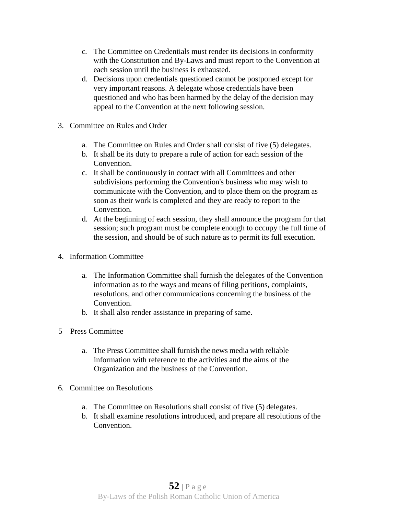- c. The Committee on Credentials must render its decisions in conformity with the Constitution and By-Laws and must report to the Convention at each session until the business is exhausted.
- d. Decisions upon credentials questioned cannot be postponed except for very important reasons. A delegate whose credentials have been questioned and who has been harmed by the delay of the decision may appeal to the Convention at the next following session.
- 3. Committee on Rules and Order
	- a. The Committee on Rules and Order shall consist of five (5) delegates.
	- b. It shall be its duty to prepare a rule of action for each session of the Convention.
	- c. It shall be continuously in contact with all Committees and other subdivisions performing the Convention's business who may wish to communicate with the Convention, and to place them on the program as soon as their work is completed and they are ready to report to the Convention.
	- d. At the beginning of each session, they shall announce the program for that session; such program must be complete enough to occupy the full time of the session, and should be of such nature as to permit its full execution.
- 4. Information Committee
	- a. The Information Committee shall furnish the delegates of the Convention information as to the ways and means of filing petitions, complaints, resolutions, and other communications concerning the business of the Convention.
	- b. It shall also render assistance in preparing of same.
- 5 Press Committee
	- a. The Press Committee shall furnish the news media with reliable information with reference to the activities and the aims of the Organization and the business of the Convention.
- 6. Committee on Resolutions
	- a. The Committee on Resolutions shall consist of five (5) delegates.
	- b. It shall examine resolutions introduced, and prepare all resolutions of the Convention.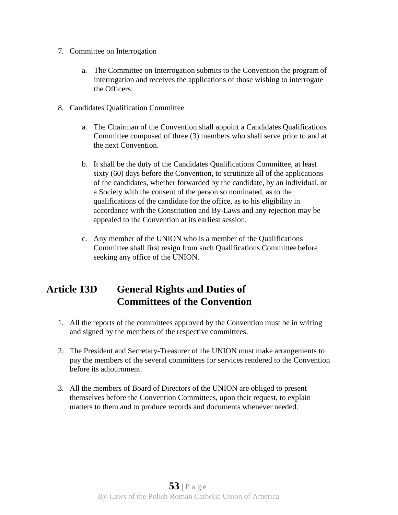- 7. Committee on Interrogation
	- a. The Committee on Interrogation submits to the Convention the program of interrogation and receives the applications of those wishing to interrogate the Officers.
- 8. Candidates Qualification Committee
	- a. The Chairman of the Convention shall appoint a Candidates Qualifications Committee composed of three (3) members who shall serve prior to and at the next Convention.
	- b. It shall be the duty of the Candidates Qualifications Committee, at least sixty (60) days before the Convention, to scrutinize all of the applications of the candidates, whether forwarded by the candidate, by an individual, or a Society with the consent of the person so nominated, as to the qualifications of the candidate for the office, as to his eligibility in accordance with the Constitution and By-Laws and any rejection may be appealed to the Convention at its earliest session.
	- c. Any member of the UNION who is a member of the Qualifications Committee shall first resign from such Qualifications Committee before seeking any office of the UNION.

## **Article 13D General Rights and Duties of Committees of the Convention**

- 1. All the reports of the committees approved by the Convention must be in writing and signed by the members of the respective committees.
- 2. The President and Secretary-Treasurer of the UNION must make arrangements to pay the members of the several committees for services rendered to the Convention before its adjournment.
- 3. All the members of Board of Directors of the UNION are obliged to present themselves before the Convention Committees, upon their request, to explain matters to them and to produce records and documents whenever needed.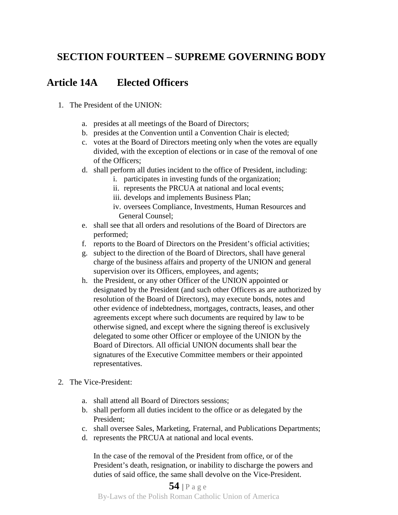## **SECTION FOURTEEN – SUPREME GOVERNING BODY**

## <span id="page-53-1"></span><span id="page-53-0"></span>**Article 14A Elected Officers**

- 1. The President of the UNION:
	- a. presides at all meetings of the Board of Directors;
	- b. presides at the Convention until a Convention Chair is elected;
	- c. votes at the Board of Directors meeting only when the votes are equally divided, with the exception of elections or in case of the removal of one of the Officers;
	- d. shall perform all duties incident to the office of President, including:
		- i. participates in investing funds of the organization;
		- ii. represents the PRCUA at national and local events;
		- iii. develops and implements Business Plan;
		- iv. oversees Compliance, Investments, Human Resources and General Counsel;
	- e. shall see that all orders and resolutions of the Board of Directors are performed;
	- f. reports to the Board of Directors on the President's official activities;
	- g. subject to the direction of the Board of Directors, shall have general charge of the business affairs and property of the UNION and general supervision over its Officers, employees, and agents;
	- h. the President, or any other Officer of the UNION appointed or designated by the President (and such other Officers as are authorized by resolution of the Board of Directors), may execute bonds, notes and other evidence of indebtedness, mortgages, contracts, leases, and other agreements except where such documents are required by law to be otherwise signed, and except where the signing thereof is exclusively delegated to some other Officer or employee of the UNION by the Board of Directors. All official UNION documents shall bear the signatures of the Executive Committee members or their appointed representatives.
- 2. The Vice-President:
	- a. shall attend all Board of Directors sessions;
	- b. shall perform all duties incident to the office or as delegated by the President;
	- c. shall oversee Sales, Marketing, Fraternal, and Publications Departments;
	- d. represents the PRCUA at national and local events.

In the case of the removal of the President from office, or of the President's death, resignation, or inability to discharge the powers and duties of said office, the same shall devolve on the Vice-President.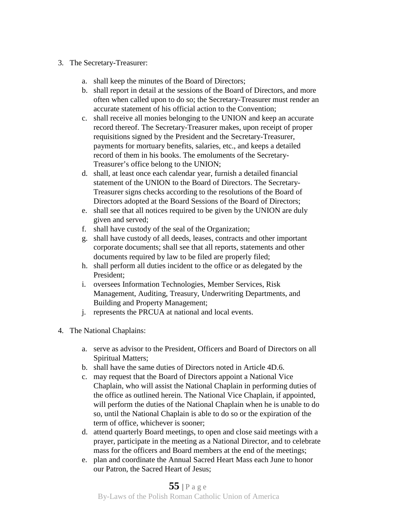- 3. The Secretary-Treasurer:
	- a. shall keep the minutes of the Board of Directors;
	- b. shall report in detail at the sessions of the Board of Directors, and more often when called upon to do so; the Secretary-Treasurer must render an accurate statement of his official action to the Convention;
	- c. shall receive all monies belonging to the UNION and keep an accurate record thereof. The Secretary-Treasurer makes, upon receipt of proper requisitions signed by the President and the Secretary-Treasurer, payments for mortuary benefits, salaries, etc., and keeps a detailed record of them in his books. The emoluments of the Secretary-Treasurer's office belong to the UNION;
	- d. shall, at least once each calendar year, furnish a detailed financial statement of the UNION to the Board of Directors. The Secretary-Treasurer signs checks according to the resolutions of the Board of Directors adopted at the Board Sessions of the Board of Directors;
	- e. shall see that all notices required to be given by the UNION are duly given and served;
	- f. shall have custody of the seal of the Organization;
	- g. shall have custody of all deeds, leases, contracts and other important corporate documents; shall see that all reports, statements and other documents required by law to be filed are properly filed;
	- h. shall perform all duties incident to the office or as delegated by the President;
	- i. oversees Information Technologies, Member Services, Risk Management, Auditing, Treasury, Underwriting Departments, and Building and Property Management;
	- j. represents the PRCUA at national and local events.
- 4. The National Chaplains:
	- a. serve as advisor to the President, Officers and Board of Directors on all Spiritual Matters;
	- b. shall have the same duties of Directors noted in Article 4D.6.
	- c. may request that the Board of Directors appoint a National Vice Chaplain, who will assist the National Chaplain in performing duties of the office as outlined herein. The National Vice Chaplain, if appointed, will perform the duties of the National Chaplain when he is unable to do so, until the National Chaplain is able to do so or the expiration of the term of office, whichever is sooner;
	- d. attend quarterly Board meetings, to open and close said meetings with a prayer, participate in the meeting as a National Director, and to celebrate mass for the officers and Board members at the end of the meetings;
	- e. plan and coordinate the Annual Sacred Heart Mass each June to honor our Patron, the Sacred Heart of Jesus;

#### **55** | P a g e

By-Laws of the Polish Roman Catholic Union of America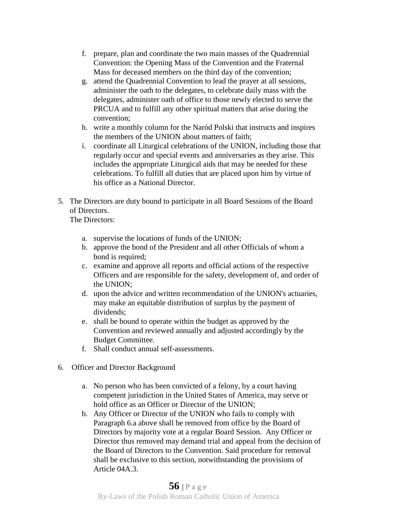- f. prepare, plan and coordinate the two main masses of the Quadrennial Convention: the Opening Mass of the Convention and the Fraternal Mass for deceased members on the third day of the convention;
- g. attend the Quadrennial Convention to lead the prayer at all sessions, administer the oath to the delegates, to celebrate daily mass with the delegates, administer oath of office to those newly elected to serve the PRCUA and to fulfill any other spiritual matters that arise during the convention;
- h. write a monthly column for the Naród Polski that instructs and inspires the members of the UNION about matters of faith;
- i. coordinate all Liturgical celebrations of the UNION, including those that regularly occur and special events and anniversaries as they arise. This includes the appropriate Liturgical aids that may be needed for these celebrations. To fulfill all duties that are placed upon him by virtue of his office as a National Director.
- 5. The Directors are duty bound to participate in all Board Sessions of the Board of Directors.

The Directors:

- a. supervise the locations of funds of the UNION;
- b. approve the bond of the President and all other Officials of whom a bond is required;
- c. examine and approve all reports and official actions of the respective Officers and are responsible for the safety, development of, and order of the UNION;
- d. upon the advice and written recommendation of the UNION's actuaries, may make an equitable distribution of surplus by the payment of dividends;
- e. shall be bound to operate within the budget as approved by the Convention and reviewed annually and adjusted accordingly by the Budget Committee.
- f. Shall conduct annual self-assessments.
- 6. Officer and Director Background
	- a. No person who has been convicted of a felony, by a court having competent jurisdiction in the United States of America, may serve or hold office as an Officer or Director of the UNION;
	- b. Any Officer or Director of the UNION who fails to comply with Paragraph 6.a above shall be removed from office by the Board of Directors by majority vote at a regular Board Session. Any Officer or Director thus removed may demand trial and appeal from the decision of the Board of Directors to the Convention. Said procedure for removal shall be exclusive to this section, notwithstanding the provisions of Article 04A.3.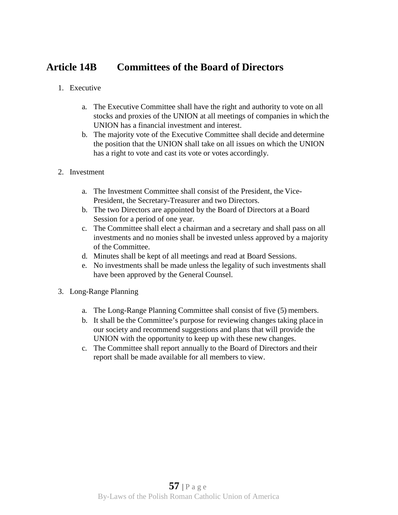### <span id="page-56-0"></span>**Article 14B Committees of the Board of Directors**

- 1. Executive
	- a. The Executive Committee shall have the right and authority to vote on all stocks and proxies of the UNION at all meetings of companies in which the UNION has a financial investment and interest.
	- b. The majority vote of the Executive Committee shall decide and determine the position that the UNION shall take on all issues on which the UNION has a right to vote and cast its vote or votes accordingly.
- 2. Investment
	- a. The Investment Committee shall consist of the President, the Vice-President, the Secretary-Treasurer and two Directors.
	- b. The two Directors are appointed by the Board of Directors at a Board Session for a period of one year.
	- c. The Committee shall elect a chairman and a secretary and shall pass on all investments and no monies shall be invested unless approved by a majority of the Committee.
	- d. Minutes shall be kept of all meetings and read at Board Sessions.
	- e. No investments shall be made unless the legality of such investments shall have been approved by the General Counsel.
- 3. Long-Range Planning
	- a. The Long-Range Planning Committee shall consist of five (5) members.
	- b. It shall be the Committee's purpose for reviewing changes taking place in our society and recommend suggestions and plans that will provide the UNION with the opportunity to keep up with these new changes.
	- c. The Committee shall report annually to the Board of Directors and their report shall be made available for all members to view.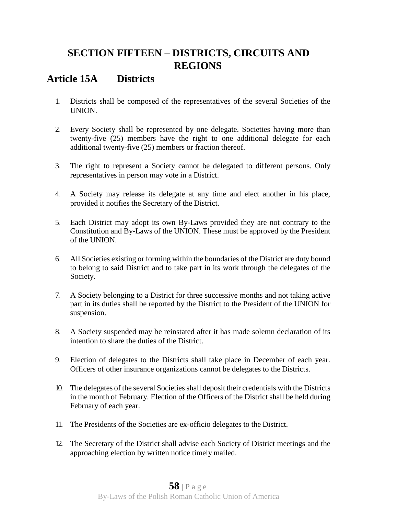## **SECTION FIFTEEN – DISTRICTS, CIRCUITS AND REGIONS**

#### <span id="page-57-0"></span>**Article 15A Districts**

- 1. Districts shall be composed of the representatives of the several Societies of the UNION.
- 2. Every Society shall be represented by one delegate. Societies having more than twenty-five (25) members have the right to one additional delegate for each additional twenty-five (25) members or fraction thereof.
- 3. The right to represent a Society cannot be delegated to different persons. Only representatives in person may vote in a District.
- 4. A Society may release its delegate at any time and elect another in his place, provided it notifies the Secretary of the District.
- 5. Each District may adopt its own By-Laws provided they are not contrary to the Constitution and By-Laws of the UNION. These must be approved by the President of the UNION.
- 6. All Societies existing or forming within the boundaries of the District are duty bound to belong to said District and to take part in its work through the delegates of the Society.
- 7. A Society belonging to a District for three successive months and not taking active part in its duties shall be reported by the District to the President of the UNION for suspension.
- 8. A Society suspended may be reinstated after it has made solemn declaration of its intention to share the duties of the District.
- 9. Election of delegates to the Districts shall take place in December of each year. Officers of other insurance organizations cannot be delegates to the Districts.
- 10. The delegates of the several Societies shall deposit their credentials with the Districts in the month of February. Election of the Officers of the District shall be held during February of each year.
- 11. The Presidents of the Societies are ex-officio delegates to the District.
- 12. The Secretary of the District shall advise each Society of District meetings and the approaching election by written notice timely mailed.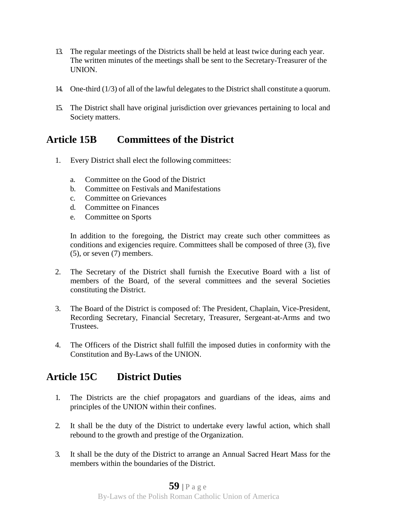- 13. The regular meetings of the Districts shall be held at least twice during each year. The written minutes of the meetings shall be sent to the Secretary-Treasurer of the UNION.
- 14. One-third (1/3) of all of the lawful delegates to the District shall constitute a quorum.
- 15. The District shall have original jurisdiction over grievances pertaining to local and Society matters.

## <span id="page-58-0"></span>**Article 15B Committees of the District**

- 1. Every District shall elect the following committees:
	- a. Committee on the Good of the District
	- b. Committee on Festivals and Manifestations
	- c. Committee on Grievances
	- d. Committee on Finances
	- e. Committee on Sports

In addition to the foregoing, the District may create such other committees as conditions and exigencies require. Committees shall be composed of three (3), five (5), or seven (7) members.

- 2. The Secretary of the District shall furnish the Executive Board with a list of members of the Board, of the several committees and the several Societies constituting the District.
- 3. The Board of the District is composed of: The President, Chaplain, Vice-President, Recording Secretary, Financial Secretary, Treasurer, Sergeant-at-Arms and two Trustees.
- 4. The Officers of the District shall fulfill the imposed duties in conformity with the Constitution and By-Laws of the UNION.

## <span id="page-58-1"></span>**Article 15C District Duties**

- 1. The Districts are the chief propagators and guardians of the ideas, aims and principles of the UNION within their confines.
- 2. It shall be the duty of the District to undertake every lawful action, which shall rebound to the growth and prestige of the Organization.
- 3. It shall be the duty of the District to arrange an Annual Sacred Heart Mass for the members within the boundaries of the District.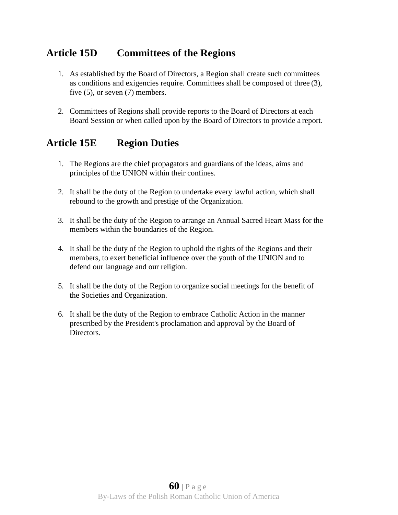## <span id="page-59-0"></span>**Article 15D Committees of the Regions**

- 1. As established by the Board of Directors, a Region shall create such committees as conditions and exigencies require. Committees shall be composed of three (3), five (5), or seven (7) members.
- 2. Committees of Regions shall provide reports to the Board of Directors at each Board Session or when called upon by the Board of Directors to provide a report.

## <span id="page-59-1"></span>**Article 15E Region Duties**

- 1. The Regions are the chief propagators and guardians of the ideas, aims and principles of the UNION within their confines.
- 2. It shall be the duty of the Region to undertake every lawful action, which shall rebound to the growth and prestige of the Organization.
- 3. It shall be the duty of the Region to arrange an Annual Sacred Heart Mass for the members within the boundaries of the Region.
- 4. It shall be the duty of the Region to uphold the rights of the Regions and their members, to exert beneficial influence over the youth of the UNION and to defend our language and our religion.
- 5. It shall be the duty of the Region to organize social meetings for the benefit of the Societies and Organization.
- 6. It shall be the duty of the Region to embrace Catholic Action in the manner prescribed by the President's proclamation and approval by the Board of Directors.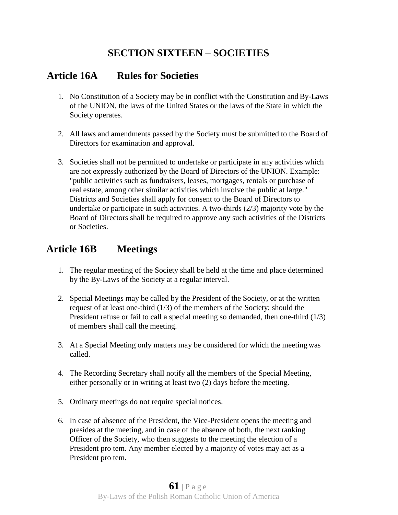## **SECTION SIXTEEN – SOCIETIES**

## <span id="page-60-1"></span><span id="page-60-0"></span>**Article 16A Rules for Societies**

- 1. No Constitution of a Society may be in conflict with the Constitution and By-Laws of the UNION, the laws of the United States or the laws of the State in which the Society operates.
- 2. All laws and amendments passed by the Society must be submitted to the Board of Directors for examination and approval.
- 3. Societies shall not be permitted to undertake or participate in any activities which are not expressly authorized by the Board of Directors of the UNION. Example: "public activities such as fundraisers, leases, mortgages, rentals or purchase of real estate, among other similar activities which involve the public at large." Districts and Societies shall apply for consent to the Board of Directors to undertake or participate in such activities. A two-thirds (2/3) majority vote by the Board of Directors shall be required to approve any such activities of the Districts or Societies.

### <span id="page-60-2"></span>**Article 16B Meetings**

- 1. The regular meeting of the Society shall be held at the time and place determined by the By-Laws of the Society at a regular interval.
- 2. Special Meetings may be called by the President of the Society, or at the written request of at least one-third (1/3) of the members of the Society; should the President refuse or fail to call a special meeting so demanded, then one-third (1/3) of members shall call the meeting.
- 3. At a Special Meeting only matters may be considered for which the meeting was called.
- 4. The Recording Secretary shall notify all the members of the Special Meeting, either personally or in writing at least two (2) days before the meeting.
- 5. Ordinary meetings do not require special notices.
- 6. In case of absence of the President, the Vice-President opens the meeting and presides at the meeting, and in case of the absence of both, the next ranking Officer of the Society, who then suggests to the meeting the election of a President pro tem. Any member elected by a majority of votes may act as a President pro tem.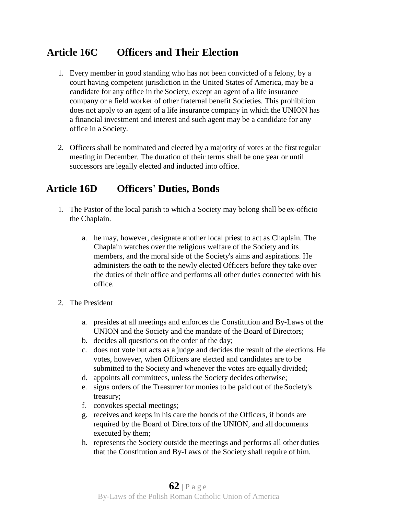## <span id="page-61-0"></span>**Article 16C Officers and Their Election**

- 1. Every member in good standing who has not been convicted of a felony, by a court having competent jurisdiction in the United States of America, may be a candidate for any office in the Society, except an agent of a life insurance company or a field worker of other fraternal benefit Societies. This prohibition does not apply to an agent of a life insurance company in which the UNION has a financial investment and interest and such agent may be a candidate for any office in a Society.
- 2. Officers shall be nominated and elected by a majority of votes at the firstregular meeting in December. The duration of their terms shall be one year or until successors are legally elected and inducted into office.

## <span id="page-61-1"></span>**Article 16D Officers' Duties, Bonds**

- 1. The Pastor of the local parish to which a Society may belong shall be ex-officio the Chaplain.
	- a. he may, however, designate another local priest to act as Chaplain. The Chaplain watches over the religious welfare of the Society and its members, and the moral side of the Society's aims and aspirations. He administers the oath to the newly elected Officers before they take over the duties of their office and performs all other duties connected with his office.
- 2. The President
	- a. presides at all meetings and enforces the Constitution and By-Laws of the UNION and the Society and the mandate of the Board of Directors;
	- b. decides all questions on the order of the day;
	- c. does not vote but acts as a judge and decides the result of the elections. He votes, however, when Officers are elected and candidates are to be submitted to the Society and whenever the votes are equally divided;
	- d. appoints all committees, unless the Society decides otherwise;
	- e. signs orders of the Treasurer for monies to be paid out of the Society's treasury;
	- f. convokes special meetings;
	- g. receives and keeps in his care the bonds of the Officers, if bonds are required by the Board of Directors of the UNION, and all documents executed by them;
	- h. represents the Society outside the meetings and performs all other duties that the Constitution and By-Laws of the Society shall require of him.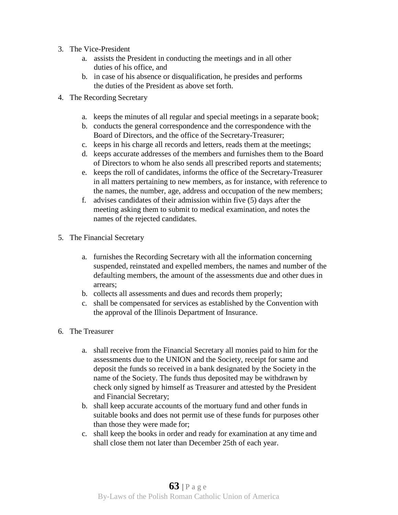- 3. The Vice-President
	- a. assists the President in conducting the meetings and in all other duties of his office, and
	- b. in case of his absence or disqualification, he presides and performs the duties of the President as above set forth.
- 4. The Recording Secretary
	- a. keeps the minutes of all regular and special meetings in a separate book;
	- b. conducts the general correspondence and the correspondence with the Board of Directors, and the office of the Secretary-Treasurer;
	- c. keeps in his charge all records and letters, reads them at the meetings;
	- d. keeps accurate addresses of the members and furnishes them to the Board of Directors to whom he also sends all prescribed reports and statements;
	- e. keeps the roll of candidates, informs the office of the Secretary-Treasurer in all matters pertaining to new members, as for instance, with reference to the names, the number, age, address and occupation of the new members;
	- f. advises candidates of their admission within five (5) days after the meeting asking them to submit to medical examination, and notes the names of the rejected candidates.
- 5. The Financial Secretary
	- a. furnishes the Recording Secretary with all the information concerning suspended, reinstated and expelled members, the names and number of the defaulting members, the amount of the assessments due and other dues in arrears;
	- b. collects all assessments and dues and records them properly;
	- c. shall be compensated for services as established by the Convention with the approval of the Illinois Department of Insurance.
- 6. The Treasurer
	- a. shall receive from the Financial Secretary all monies paid to him for the assessments due to the UNION and the Society, receipt for same and deposit the funds so received in a bank designated by the Society in the name of the Society. The funds thus deposited may be withdrawn by check only signed by himself as Treasurer and attested by the President and Financial Secretary;
	- b. shall keep accurate accounts of the mortuary fund and other funds in suitable books and does not permit use of these funds for purposes other than those they were made for;
	- c. shall keep the books in order and ready for examination at any time and shall close them not later than December 25th of each year.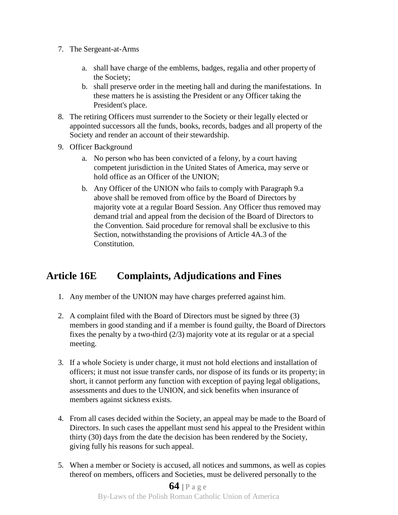- 7. The Sergeant-at-Arms
	- a. shall have charge of the emblems, badges, regalia and other property of the Society;
	- b. shall preserve order in the meeting hall and during the manifestations. In these matters he is assisting the President or any Officer taking the President's place.
- 8. The retiring Officers must surrender to the Society or their legally elected or appointed successors all the funds, books, records, badges and all property of the Society and render an account of their stewardship.
- 9. Officer Background
	- a. No person who has been convicted of a felony, by a court having competent jurisdiction in the United States of America, may serve or hold office as an Officer of the UNION;
	- b. Any Officer of the UNION who fails to comply with Paragraph 9.a above shall be removed from office by the Board of Directors by majority vote at a regular Board Session. Any Officer thus removed may demand trial and appeal from the decision of the Board of Directors to the Convention. Said procedure for removal shall be exclusive to this Section, notwithstanding the provisions of Article 4A.3 of the Constitution.

## <span id="page-63-0"></span>**Article 16E Complaints, Adjudications and Fines**

- 1. Any member of the UNION may have charges preferred against him.
- 2. A complaint filed with the Board of Directors must be signed by three (3) members in good standing and if a member is found guilty, the Board of Directors fixes the penalty by a two-third (2/3) majority vote at its regular or at a special meeting.
- 3. If a whole Society is under charge, it must not hold elections and installation of officers; it must not issue transfer cards, nor dispose of its funds or its property; in short, it cannot perform any function with exception of paying legal obligations, assessments and dues to the UNION, and sick benefits when insurance of members against sickness exists.
- 4. From all cases decided within the Society, an appeal may be made to the Board of Directors. In such cases the appellant must send his appeal to the President within thirty (30) days from the date the decision has been rendered by the Society, giving fully his reasons for such appeal.
- 5. When a member or Society is accused, all notices and summons, as well as copies thereof on members, officers and Societies, must be delivered personally to the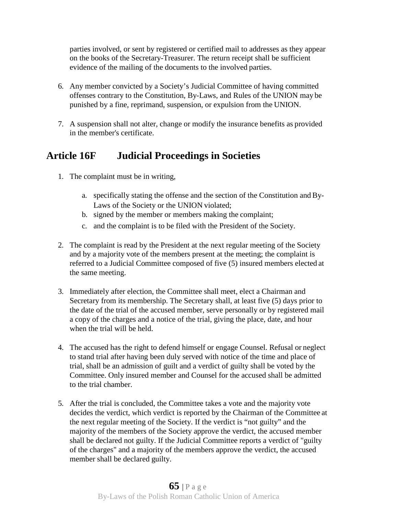parties involved, or sent by registered or certified mail to addresses as they appear on the books of the Secretary-Treasurer. The return receipt shall be sufficient evidence of the mailing of the documents to the involved parties.

- 6. Any member convicted by a Society's Judicial Committee of having committed offenses contrary to the Constitution, By-Laws, and Rules of the UNION may be punished by a fine, reprimand, suspension, or expulsion from the UNION.
- 7. A suspension shall not alter, change or modify the insurance benefits as provided in the member's certificate.

#### <span id="page-64-0"></span>**Article 16F Judicial Proceedings in Societies**

- 1. The complaint must be in writing,
	- a. specifically stating the offense and the section of the Constitution and By-Laws of the Society or the UNION violated;
	- b. signed by the member or members making the complaint;
	- c. and the complaint is to be filed with the President of the Society.
- 2. The complaint is read by the President at the next regular meeting of the Society and by a majority vote of the members present at the meeting; the complaint is referred to a Judicial Committee composed of five (5) insured members elected at the same meeting.
- 3. Immediately after election, the Committee shall meet, elect a Chairman and Secretary from its membership. The Secretary shall, at least five (5) days prior to the date of the trial of the accused member, serve personally or by registered mail a copy of the charges and a notice of the trial, giving the place, date, and hour when the trial will be held.
- 4. The accused has the right to defend himself or engage Counsel. Refusal or neglect to stand trial after having been duly served with notice of the time and place of trial, shall be an admission of guilt and a verdict of guilty shall be voted by the Committee. Only insured member and Counsel for the accused shall be admitted to the trial chamber.
- 5. After the trial is concluded, the Committee takes a vote and the majority vote decides the verdict, which verdict is reported by the Chairman of the Committee at the next regular meeting of the Society. If the verdict is "not guilty" and the majority of the members of the Society approve the verdict, the accused member shall be declared not guilty. If the Judicial Committee reports a verdict of "guilty of the charges" and a majority of the members approve the verdict, the accused member shall be declared guilty.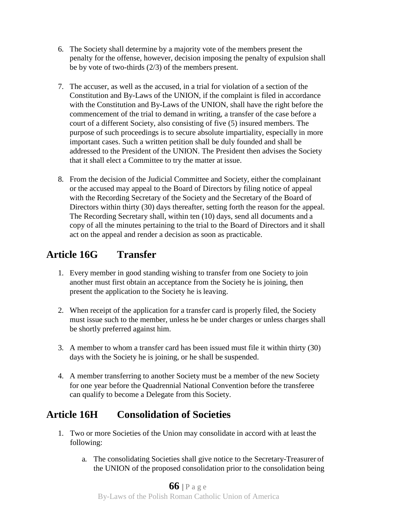- 6. The Society shall determine by a majority vote of the members present the penalty for the offense, however, decision imposing the penalty of expulsion shall be by vote of two-thirds (2/3) of the members present.
- 7. The accuser, as well as the accused, in a trial for violation of a section of the Constitution and By-Laws of the UNION, if the complaint is filed in accordance with the Constitution and By-Laws of the UNION, shall have the right before the commencement of the trial to demand in writing, a transfer of the case before a court of a different Society, also consisting of five (5) insured members. The purpose of such proceedings is to secure absolute impartiality, especially in more important cases. Such a written petition shall be duly founded and shall be addressed to the President of the UNION. The President then advises the Society that it shall elect a Committee to try the matter at issue.
- 8. From the decision of the Judicial Committee and Society, either the complainant or the accused may appeal to the Board of Directors by filing notice of appeal with the Recording Secretary of the Society and the Secretary of the Board of Directors within thirty (30) days thereafter, setting forth the reason for the appeal. The Recording Secretary shall, within ten (10) days, send all documents and a copy of all the minutes pertaining to the trial to the Board of Directors and it shall act on the appeal and render a decision as soon as practicable.

## <span id="page-65-0"></span>**Article 16G Transfer**

- 1. Every member in good standing wishing to transfer from one Society to join another must first obtain an acceptance from the Society he is joining, then present the application to the Society he is leaving.
- 2. When receipt of the application for a transfer card is properly filed, the Society must issue such to the member, unless he be under charges or unless charges shall be shortly preferred against him.
- 3. A member to whom a transfer card has been issued must file it within thirty (30) days with the Society he is joining, or he shall be suspended.
- 4. A member transferring to another Society must be a member of the new Society for one year before the Quadrennial National Convention before the transferee can qualify to become a Delegate from this Society.

## <span id="page-65-1"></span>**Article 16H Consolidation of Societies**

- 1. Two or more Societies of the Union may consolidate in accord with at least the following:
	- a. The consolidating Societies shall give notice to the Secretary-Treasurer of the UNION of the proposed consolidation prior to the consolidation being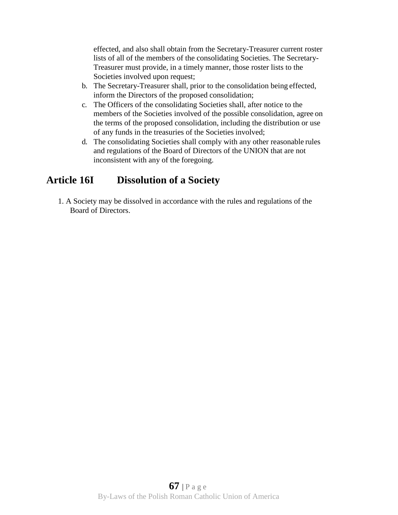effected, and also shall obtain from the Secretary-Treasurer current roster lists of all of the members of the consolidating Societies. The Secretary-Treasurer must provide, in a timely manner, those roster lists to the Societies involved upon request;

- b. The Secretary-Treasurer shall, prior to the consolidation being effected, inform the Directors of the proposed consolidation;
- c. The Officers of the consolidating Societies shall, after notice to the members of the Societies involved of the possible consolidation, agree on the terms of the proposed consolidation, including the distribution or use of any funds in the treasuries of the Societies involved;
- d. The consolidating Societies shall comply with any other reasonable rules and regulations of the Board of Directors of the UNION that are not inconsistent with any of the foregoing.

## <span id="page-66-0"></span>**Article 16I Dissolution of a Society**

1. A Society may be dissolved in accordance with the rules and regulations of the Board of Directors.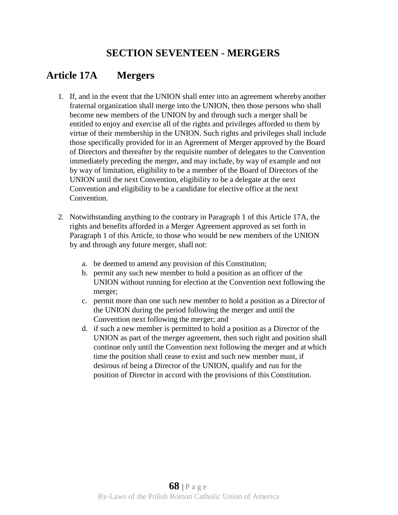## **SECTION SEVENTEEN - MERGERS**

## <span id="page-67-1"></span><span id="page-67-0"></span>**Article 17A Mergers**

- 1. If, and in the event that the UNION shall enter into an agreement whereby another fraternal organization shall merge into the UNION, then those persons who shall become new members of the UNION by and through such a merger shall be entitled to enjoy and exercise all of the rights and privileges afforded to them by virtue of their membership in the UNION. Such rights and privileges shall include those specifically provided for in an Agreement of Merger approved by the Board of Directors and thereafter by the requisite number of delegates to the Convention immediately preceding the merger, and may include, by way of example and not by way of limitation, eligibility to be a member of the Board of Directors of the UNION until the next Convention, eligibility to be a delegate at the next Convention and eligibility to be a candidate for elective office at the next Convention.
- <span id="page-67-2"></span>2. Notwithstanding anything to the contrary in Paragraph 1 of this Article 17A, the rights and benefits afforded in a Merger Agreement approved as set forth in Paragraph 1 of this Article, to those who would be new members of the UNION by and through any future merger, shall not:
	- a. be deemed to amend any provision of this Constitution;
	- b. permit any such new member to hold a position as an officer of the UNION without running for election at the Convention next following the merger;
	- c. permit more than one such new member to hold a position as a Director of the UNION during the period following the merger and until the Convention next following the merger; and
	- d. if such a new member is permitted to hold a position as a Director of the UNION as part of the merger agreement, then such right and position shall continue only until the Convention next following the merger and at which time the position shall cease to exist and such new member must, if desirous of being a Director of the UNION, qualify and run for the position of Director in accord with the provisions of this Constitution.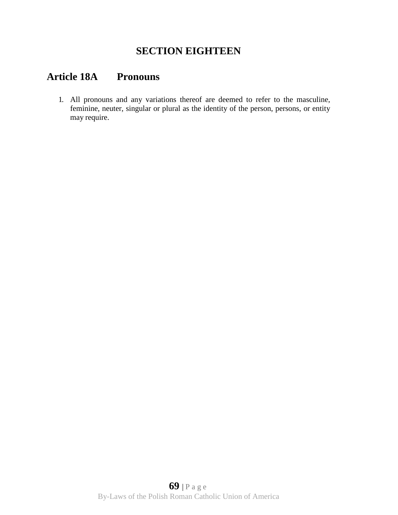### **SECTION EIGHTEEN**

## <span id="page-68-0"></span>**Article 18A Pronouns**

1. All pronouns and any variations thereof are deemed to refer to the masculine, feminine, neuter, singular or plural as the identity of the person, persons, or entity may require.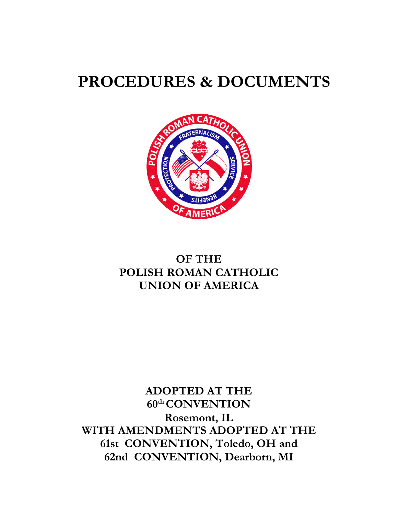# **PROCEDURES & DOCUMENTS**



## **OF THE POLISH ROMAN CATHOLIC UNION OF AMERICA**

## **ADOPTED AT THE 60th CONVENTION Rosemont, IL WITH AMENDMENTS ADOPTED AT THE 61st CONVENTION, Toledo, OH and 62nd CONVENTION, Dearborn, MI**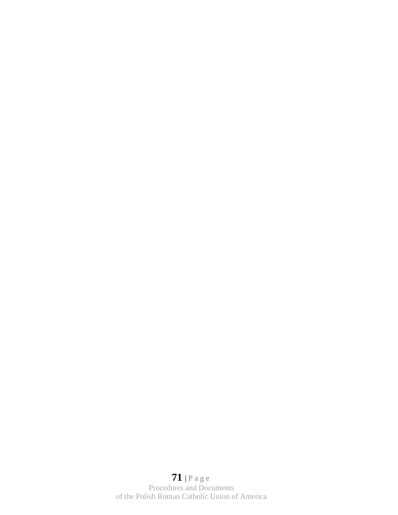**71** | P a g e Procedures and Documents of the Polish Roman Catholic Union of America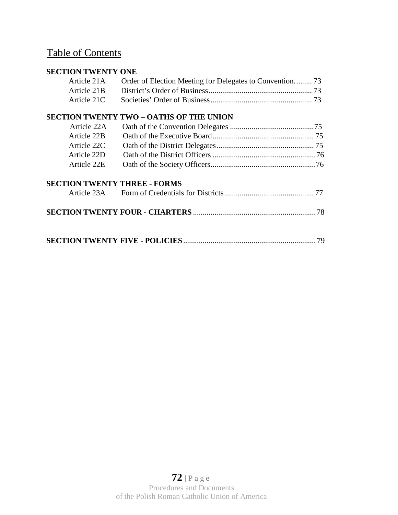## Table of Contents

#### **SECTION TWENTY ONE**

| Article 21A |  |
|-------------|--|
| Article 21B |  |
|             |  |

#### **SECTION TWENTY TWO – OATHS OF THE UNION**

| Article 22A |  |
|-------------|--|
| Article 22B |  |
| Article 22C |  |
| Article 22D |  |
| Article 22E |  |

#### **SECTION TWENTY THREE - FORMS**

|--|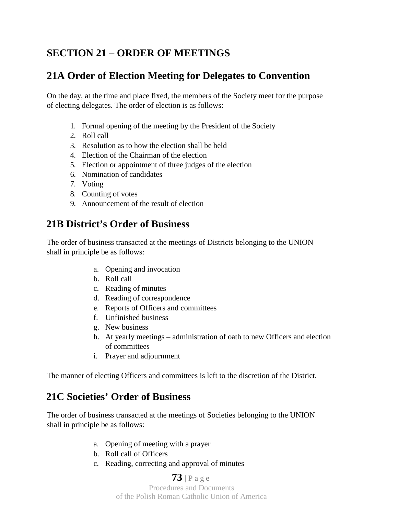# **SECTION 21 – ORDER OF MEETINGS**

# **21A Order of Election Meeting for Delegates to Convention**

On the day, at the time and place fixed, the members of the Society meet for the purpose of electing delegates. The order of election is as follows:

- 1. Formal opening of the meeting by the President of the Society
- 2. Roll call
- 3. Resolution as to how the election shall be held
- 4. Election of the Chairman of the election
- 5. Election or appointment of three judges of the election
- 6. Nomination of candidates
- 7. Voting
- 8. Counting of votes
- 9. Announcement of the result of election

## **21B District's Order of Business**

The order of business transacted at the meetings of Districts belonging to the UNION shall in principle be as follows:

- a. Opening and invocation
- b. Roll call
- c. Reading of minutes
- d. Reading of correspondence
- e. Reports of Officers and committees
- f. Unfinished business
- g. New business
- h. At yearly meetings administration of oath to new Officers and election of committees
- i. Prayer and adjournment

The manner of electing Officers and committees is left to the discretion of the District.

## **21C Societies' Order of Business**

The order of business transacted at the meetings of Societies belonging to the UNION shall in principle be as follows:

- a. Opening of meeting with a prayer
- b. Roll call of Officers
- c. Reading, correcting and approval of minutes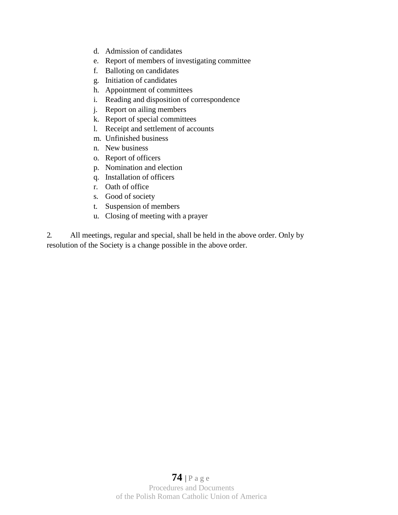- d. Admission of candidates
- e. Report of members of investigating committee
- f. Balloting on candidates
- g. Initiation of candidates
- h. Appointment of committees
- i. Reading and disposition of correspondence
- j. Report on ailing members
- k. Report of special committees
- l. Receipt and settlement of accounts
- m. Unfinished business
- n. New business
- o. Report of officers
- p. Nomination and election
- q. Installation of officers
- r. Oath of office
- s. Good of society
- t. Suspension of members
- u. Closing of meeting with a prayer

2. All meetings, regular and special, shall be held in the above order. Only by resolution of the Society is a change possible in the above order.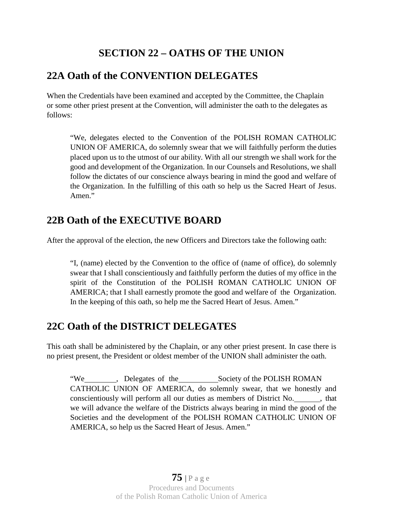# **SECTION 22 – OATHS OF THE UNION**

# **22A Oath of the CONVENTION DELEGATES**

When the Credentials have been examined and accepted by the Committee, the Chaplain or some other priest present at the Convention, will administer the oath to the delegates as follows:

"We, delegates elected to the Convention of the POLISH ROMAN CATHOLIC UNION OF AMERICA, do solemnly swear that we will faithfully perform the duties placed upon us to the utmost of our ability. With all our strength we shall work for the good and development of the Organization. In our Counsels and Resolutions, we shall follow the dictates of our conscience always bearing in mind the good and welfare of the Organization. In the fulfilling of this oath so help us the Sacred Heart of Jesus. Amen."

## **22B Oath of the EXECUTIVE BOARD**

After the approval of the election, the new Officers and Directors take the following oath:

"I, (name) elected by the Convention to the office of (name of office), do solemnly swear that I shall conscientiously and faithfully perform the duties of my office in the spirit of the Constitution of the POLISH ROMAN CATHOLIC UNION OF AMERICA; that I shall earnestly promote the good and welfare of the Organization. In the keeping of this oath, so help me the Sacred Heart of Jesus. Amen."

## **22C Oath of the DISTRICT DELEGATES**

This oath shall be administered by the Chaplain, or any other priest present. In case there is no priest present, the President or oldest member of the UNION shall administer the oath.

"We Belegates of the Society of the POLISH ROMAN CATHOLIC UNION OF AMERICA, do solemnly swear, that we honestly and conscientiously will perform all our duties as members of District No.  $\qquad \qquad$ , that we will advance the welfare of the Districts always bearing in mind the good of the Societies and the development of the POLISH ROMAN CATHOLIC UNION OF AMERICA, so help us the Sacred Heart of Jesus. Amen."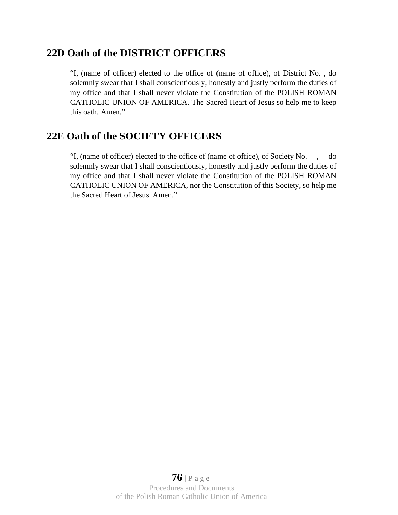#### **22D Oath of the DISTRICT OFFICERS**

"I, (name of officer) elected to the office of (name of office), of District No. , do solemnly swear that I shall conscientiously, honestly and justly perform the duties of my office and that I shall never violate the Constitution of the POLISH ROMAN CATHOLIC UNION OF AMERICA. The Sacred Heart of Jesus so help me to keep this oath. Amen."

#### **22E Oath of the SOCIETY OFFICERS**

"I, (name of officer) elected to the office of (name of office), of Society No.<sub>, do</sub> solemnly swear that I shall conscientiously, honestly and justly perform the duties of my office and that I shall never violate the Constitution of the POLISH ROMAN CATHOLIC UNION OF AMERICA, nor the Constitution of this Society, so help me the Sacred Heart of Jesus. Amen."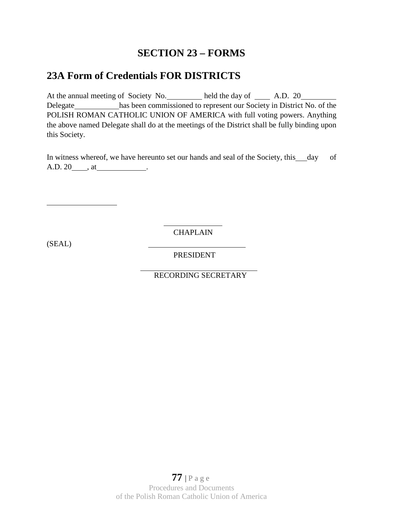### **SECTION 23 – FORMS**

### **23A Form of Credentials FOR DISTRICTS**

At the annual meeting of Society No. held the day of \_\_\_\_\_\_\_ A.D. 20\_\_\_\_\_\_\_\_\_\_\_\_ Delegate has been commissioned to represent our Society in District No. of the POLISH ROMAN CATHOLIC UNION OF AMERICA with full voting powers. Anything the above named Delegate shall do at the meetings of the District shall be fully binding upon this Society.

In witness whereof, we have hereunto set our hands and seal of the Society, this day of A.D.  $20$ , at ...

(SEAL)

PRESIDENT

**CHAPLAIN** 

RECORDING SECRETARY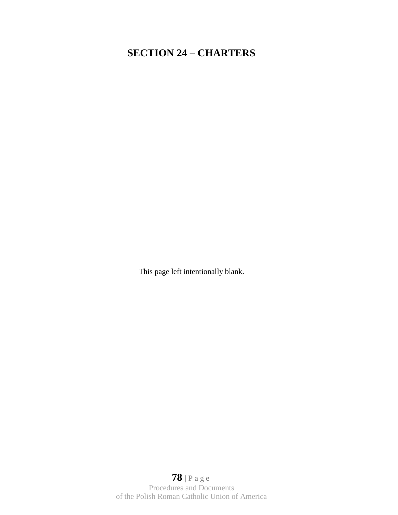# **SECTION 24 – CHARTERS**

This page left intentionally blank.

**78** | P a g e Procedures and Documents of the Polish Roman Catholic Union of America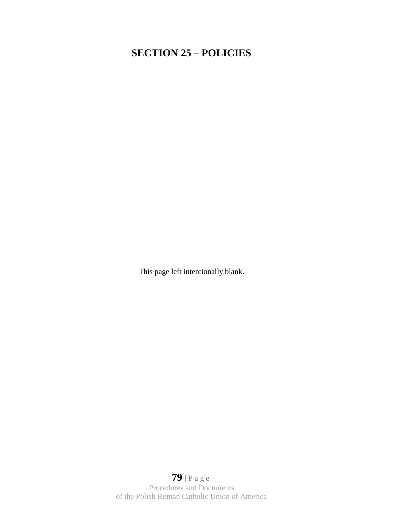# **SECTION 25 – POLICIES**

This page left intentionally blank.

**79** | P a g e Procedures and Documents of the Polish Roman Catholic Union of America